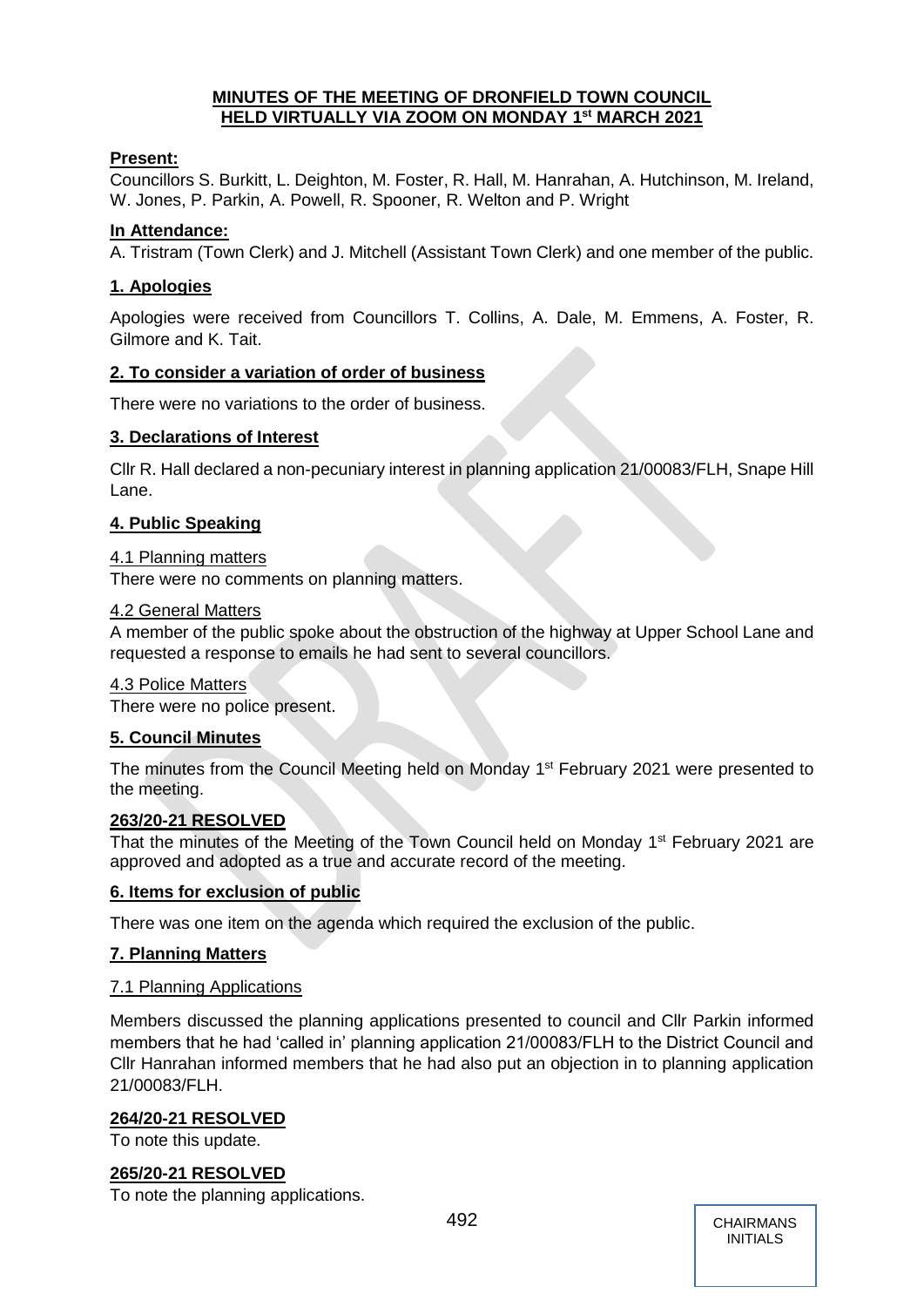## **MINUTES OF THE MEETING OF DRONFIELD TOWN COUNCIL HELD VIRTUALLY VIA ZOOM ON MONDAY 1 st MARCH 2021**

## **Present:**

Councillors S. Burkitt, L. Deighton, M. Foster, R. Hall, M. Hanrahan, A. Hutchinson, M. Ireland, W. Jones, P. Parkin, A. Powell, R. Spooner, R. Welton and P. Wright

## **In Attendance:**

A. Tristram (Town Clerk) and J. Mitchell (Assistant Town Clerk) and one member of the public.

## **1. Apologies**

Apologies were received from Councillors T. Collins, A. Dale, M. Emmens, A. Foster, R. Gilmore and K. Tait.

## **2. To consider a variation of order of business**

There were no variations to the order of business.

## **3. Declarations of Interest**

Cllr R. Hall declared a non-pecuniary interest in planning application 21/00083/FLH, Snape Hill Lane.

## **4. Public Speaking**

#### 4.1 Planning matters

There were no comments on planning matters.

## 4.2 General Matters

A member of the public spoke about the obstruction of the highway at Upper School Lane and requested a response to emails he had sent to several councillors.

#### 4.3 Police Matters

There were no police present.

## **5. Council Minutes**

The minutes from the Council Meeting held on Monday 1<sup>st</sup> February 2021 were presented to the meeting.

## **263/20-21 RESOLVED**

That the minutes of the Meeting of the Town Council held on Monday 1<sup>st</sup> February 2021 are approved and adopted as a true and accurate record of the meeting.

## **6. Items for exclusion of public**

There was one item on the agenda which required the exclusion of the public.

## **7. Planning Matters**

## 7.1 Planning Applications

Members discussed the planning applications presented to council and Cllr Parkin informed members that he had 'called in' planning application 21/00083/FLH to the District Council and Cllr Hanrahan informed members that he had also put an objection in to planning application 21/00083/FLH.

## **264/20-21 RESOLVED**

To note this update.

## **265/20-21 RESOLVED**

To note the planning applications.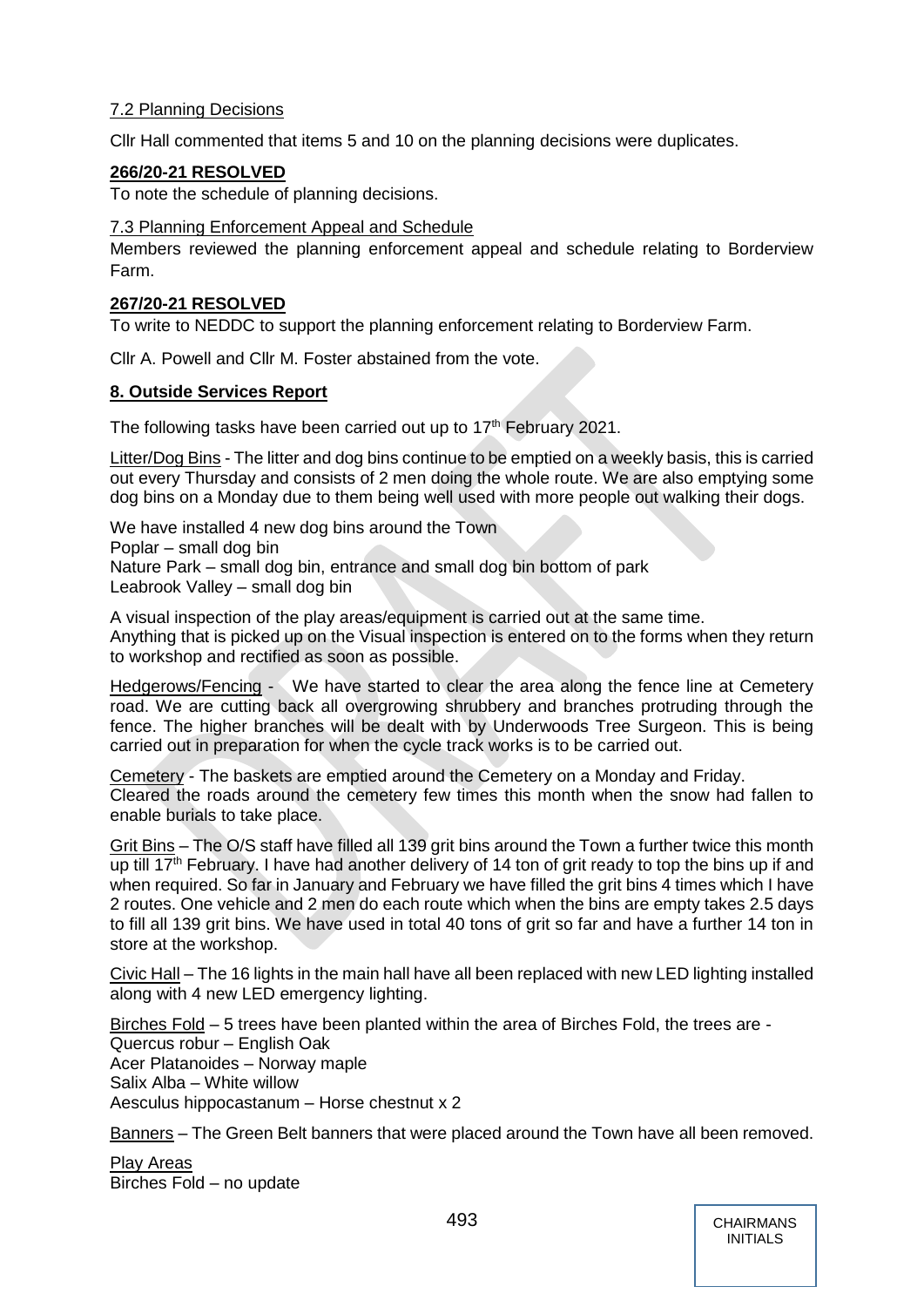## 7.2 Planning Decisions

Cllr Hall commented that items 5 and 10 on the planning decisions were duplicates.

#### **266/20-21 RESOLVED**

To note the schedule of planning decisions.

#### 7.3 Planning Enforcement Appeal and Schedule

Members reviewed the planning enforcement appeal and schedule relating to Borderview Farm.

#### **267/20-21 RESOLVED**

To write to NEDDC to support the planning enforcement relating to Borderview Farm.

Cllr A. Powell and Cllr M. Foster abstained from the vote.

#### **8. Outside Services Report**

The following tasks have been carried out up to  $17<sup>th</sup>$  February 2021.

Litter/Dog Bins - The litter and dog bins continue to be emptied on a weekly basis, this is carried out every Thursday and consists of 2 men doing the whole route. We are also emptying some dog bins on a Monday due to them being well used with more people out walking their dogs.

We have installed 4 new dog bins around the Town Poplar – small dog bin Nature Park – small dog bin, entrance and small dog bin bottom of park Leabrook Valley – small dog bin

A visual inspection of the play areas/equipment is carried out at the same time. Anything that is picked up on the Visual inspection is entered on to the forms when they return to workshop and rectified as soon as possible.

Hedgerows/Fencing - We have started to clear the area along the fence line at Cemetery road. We are cutting back all overgrowing shrubbery and branches protruding through the fence. The higher branches will be dealt with by Underwoods Tree Surgeon. This is being carried out in preparation for when the cycle track works is to be carried out.

Cemetery - The baskets are emptied around the Cemetery on a Monday and Friday. Cleared the roads around the cemetery few times this month when the snow had fallen to enable burials to take place.

Grit Bins – The O/S staff have filled all 139 grit bins around the Town a further twice this month up till 17<sup>th</sup> February. I have had another delivery of 14 ton of grit ready to top the bins up if and when required. So far in January and February we have filled the grit bins 4 times which I have 2 routes. One vehicle and 2 men do each route which when the bins are empty takes 2.5 days to fill all 139 grit bins. We have used in total 40 tons of grit so far and have a further 14 ton in store at the workshop.

Civic Hall – The 16 lights in the main hall have all been replaced with new LED lighting installed along with 4 new LED emergency lighting.

Birches Fold – 5 trees have been planted within the area of Birches Fold, the trees are - Quercus robur – English Oak Acer Platanoides – Norway maple Salix Alba – White willow Aesculus hippocastanum – Horse chestnut x 2

Banners – The Green Belt banners that were placed around the Town have all been removed.

Play Areas Birches Fold – no update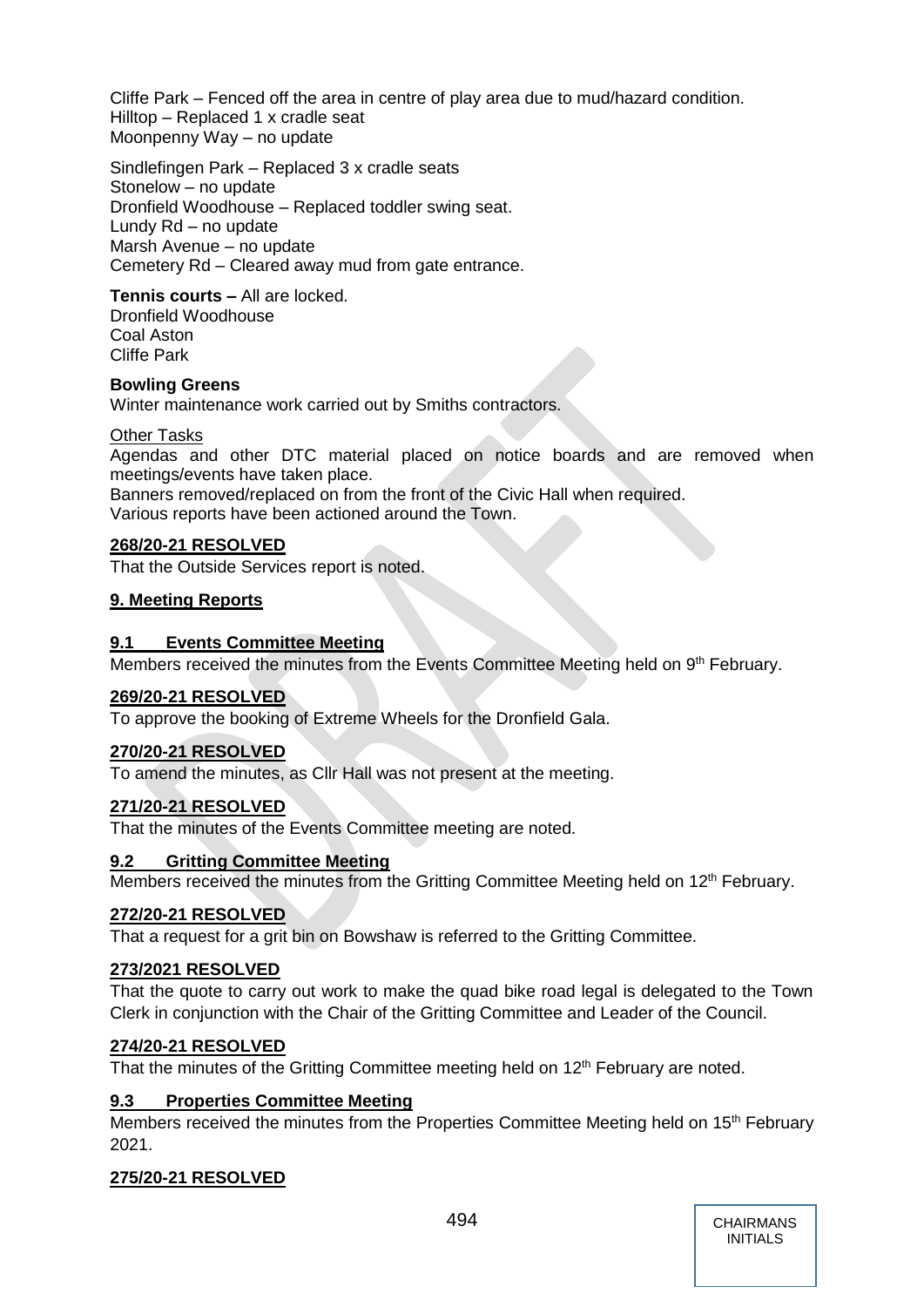Cliffe Park – Fenced off the area in centre of play area due to mud/hazard condition. Hilltop – Replaced 1 x cradle seat Moonpenny Way – no update

Sindlefingen Park – Replaced 3 x cradle seats Stonelow – no update Dronfield Woodhouse – Replaced toddler swing seat. Lundy Rd – no update Marsh Avenue – no update Cemetery Rd – Cleared away mud from gate entrance.

**Tennis courts –** All are locked. Dronfield Woodhouse Coal Aston

Cliffe Park

## **Bowling Greens**

Winter maintenance work carried out by Smiths contractors.

## Other Tasks

Agendas and other DTC material placed on notice boards and are removed when meetings/events have taken place.

Banners removed/replaced on from the front of the Civic Hall when required. Various reports have been actioned around the Town.

## **268/20-21 RESOLVED**

That the Outside Services report is noted.

#### **9. Meeting Reports**

## **9.1 Events Committee Meeting**

Members received the minutes from the Events Committee Meeting held on 9<sup>th</sup> February.

## **269/20-21 RESOLVED**

To approve the booking of Extreme Wheels for the Dronfield Gala.

## **270/20-21 RESOLVED**

To amend the minutes, as Cllr Hall was not present at the meeting.

## **271/20-21 RESOLVED**

That the minutes of the Events Committee meeting are noted.

## **9.2 Gritting Committee Meeting**

Members received the minutes from the Gritting Committee Meeting held on 12<sup>th</sup> February.

## **272/20-21 RESOLVED**

That a request for a grit bin on Bowshaw is referred to the Gritting Committee.

## **273/2021 RESOLVED**

That the quote to carry out work to make the quad bike road legal is delegated to the Town Clerk in conjunction with the Chair of the Gritting Committee and Leader of the Council.

## **274/20-21 RESOLVED**

That the minutes of the Gritting Committee meeting held on  $12<sup>th</sup>$  February are noted.

## **9.3 Properties Committee Meeting**

Members received the minutes from the Properties Committee Meeting held on 15<sup>th</sup> February 2021.

## **275/20-21 RESOLVED**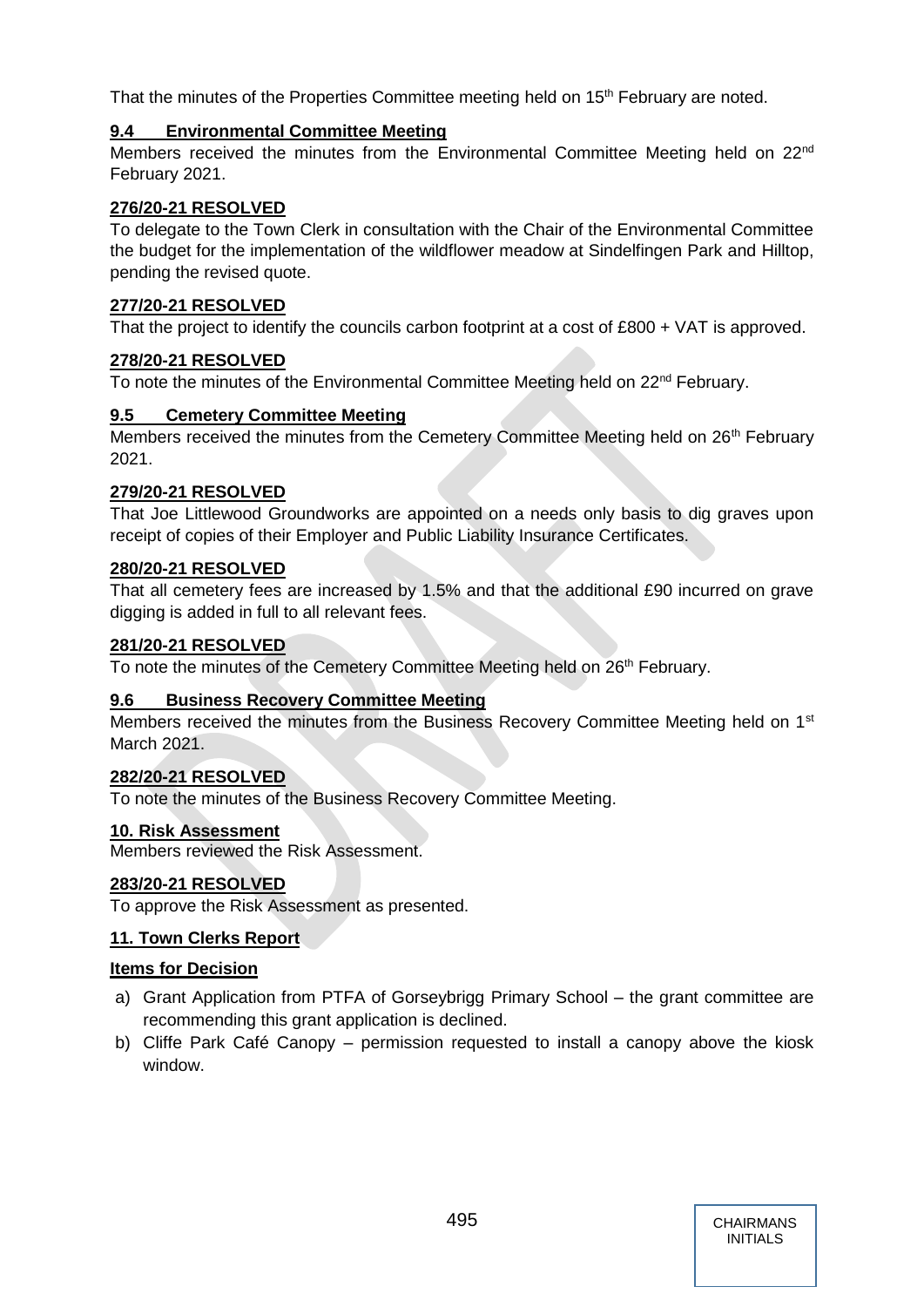That the minutes of the Properties Committee meeting held on 15<sup>th</sup> February are noted.

## **9.4 Environmental Committee Meeting**

Members received the minutes from the Environmental Committee Meeting held on 22nd February 2021.

## **276/20-21 RESOLVED**

To delegate to the Town Clerk in consultation with the Chair of the Environmental Committee the budget for the implementation of the wildflower meadow at Sindelfingen Park and Hilltop, pending the revised quote.

## **277/20-21 RESOLVED**

That the project to identify the councils carbon footprint at a cost of £800 + VAT is approved.

## **278/20-21 RESOLVED**

To note the minutes of the Environmental Committee Meeting held on 22<sup>nd</sup> February.

## **9.5 Cemetery Committee Meeting**

Members received the minutes from the Cemetery Committee Meeting held on 26<sup>th</sup> February 2021.

## **279/20-21 RESOLVED**

That Joe Littlewood Groundworks are appointed on a needs only basis to dig graves upon receipt of copies of their Employer and Public Liability Insurance Certificates.

## **280/20-21 RESOLVED**

That all cemetery fees are increased by 1.5% and that the additional £90 incurred on grave digging is added in full to all relevant fees.

## **281/20-21 RESOLVED**

To note the minutes of the Cemetery Committee Meeting held on 26<sup>th</sup> February.

## **9.6 Business Recovery Committee Meeting**

Members received the minutes from the Business Recovery Committee Meeting held on 1<sup>st</sup> March 2021.

## **282/20-21 RESOLVED**

To note the minutes of the Business Recovery Committee Meeting.

## **10. Risk Assessment**

Members reviewed the Risk Assessment.

## **283/20-21 RESOLVED**

To approve the Risk Assessment as presented.

## **11. Town Clerks Report**

## **Items for Decision**

- a) Grant Application from PTFA of Gorseybrigg Primary School the grant committee are recommending this grant application is declined.
- b) Cliffe Park Café Canopy permission requested to install a canopy above the kiosk window.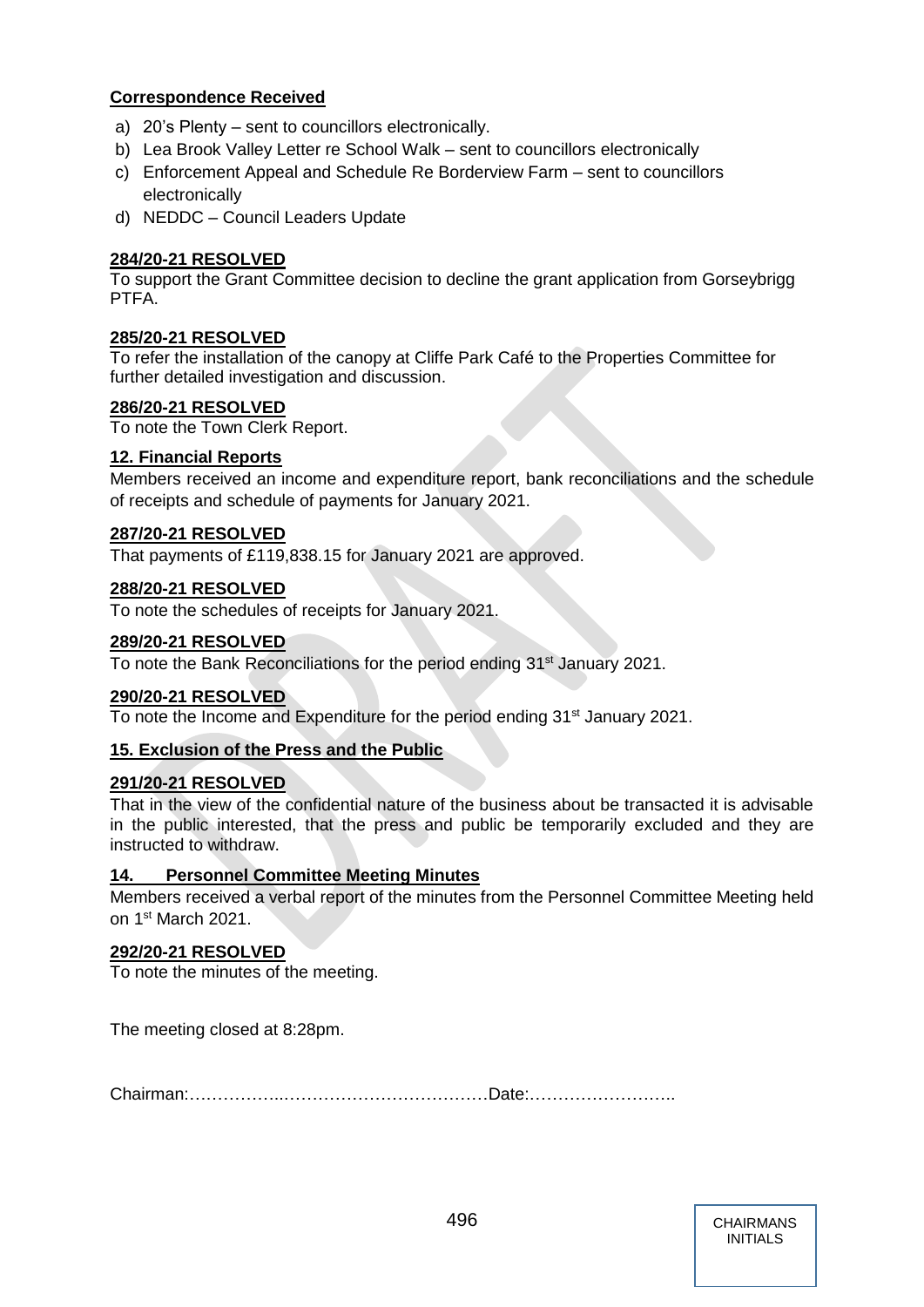## **Correspondence Received**

- a) 20's Plenty sent to councillors electronically.
- b) Lea Brook Valley Letter re School Walk sent to councillors electronically
- c) Enforcement Appeal and Schedule Re Borderview Farm sent to councillors electronically
- d) NEDDC Council Leaders Update

## **284/20-21 RESOLVED**

To support the Grant Committee decision to decline the grant application from Gorseybrigg PTFA.

## **285/20-21 RESOLVED**

To refer the installation of the canopy at Cliffe Park Café to the Properties Committee for further detailed investigation and discussion.

## **286/20-21 RESOLVED**

To note the Town Clerk Report.

## **12. Financial Reports**

Members received an income and expenditure report, bank reconciliations and the schedule of receipts and schedule of payments for January 2021.

## **287/20-21 RESOLVED**

That payments of £119,838.15 for January 2021 are approved.

#### **288/20-21 RESOLVED**

To note the schedules of receipts for January 2021.

#### **289/20-21 RESOLVED**

To note the Bank Reconciliations for the period ending 31<sup>st</sup> January 2021.

## **290/20-21 RESOLVED**

To note the Income and Expenditure for the period ending 31<sup>st</sup> January 2021.

## **15. Exclusion of the Press and the Public**

## **291/20-21 RESOLVED**

That in the view of the confidential nature of the business about be transacted it is advisable in the public interested, that the press and public be temporarily excluded and they are instructed to withdraw.

## **14. Personnel Committee Meeting Minutes**

Members received a verbal report of the minutes from the Personnel Committee Meeting held on 1st March 2021.

## **292/20-21 RESOLVED**

To note the minutes of the meeting.

The meeting closed at 8:28pm.

Chairman:……………..………………………………Date:……………………..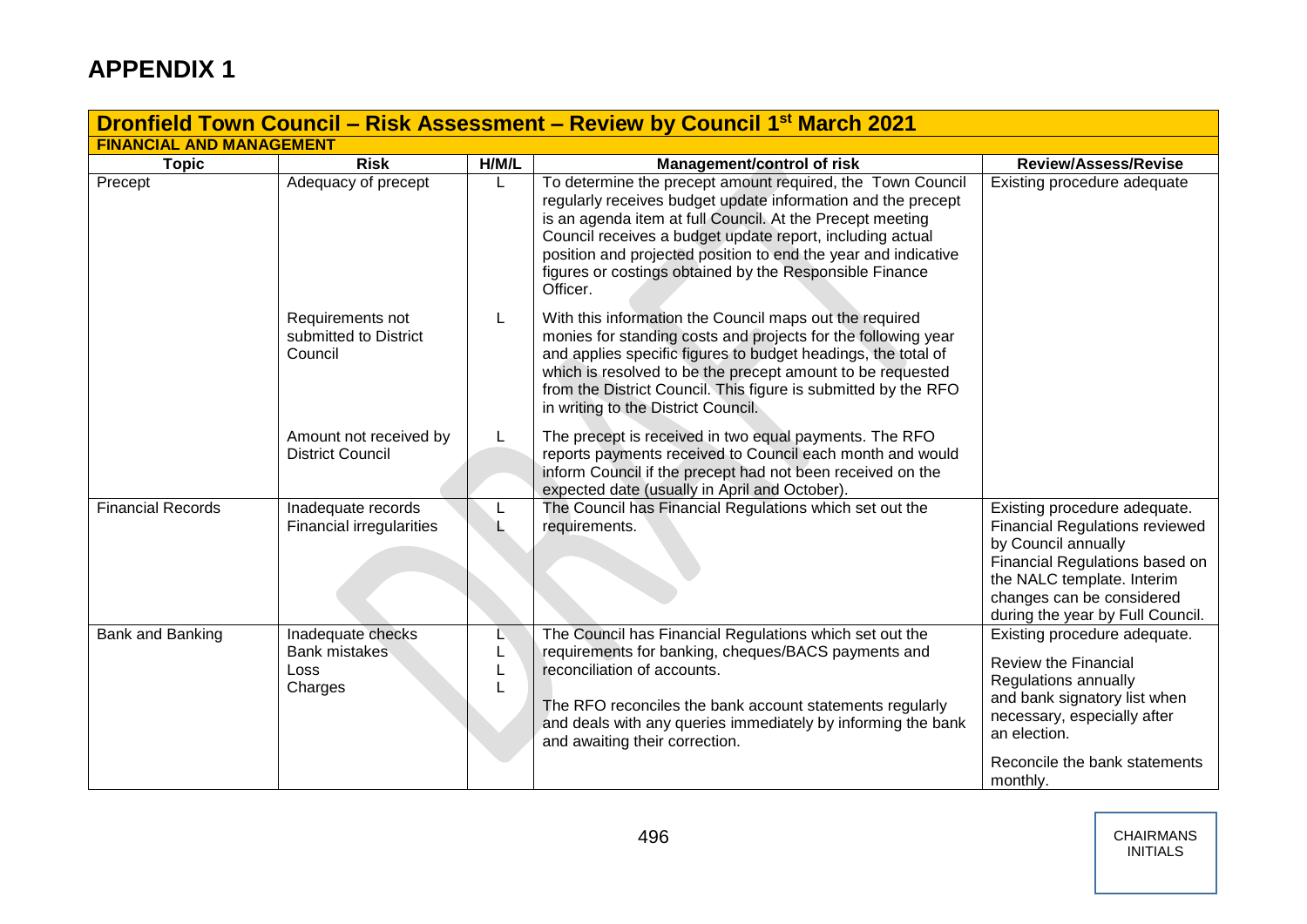| <b>Dronfield Town Council – Risk Assessment – Review by Council 1st March 2021</b> |                                                              |        |                                                                                                                                                                                                                                                                                                                                                                                               |                                                                                                                                                                                                                               |  |
|------------------------------------------------------------------------------------|--------------------------------------------------------------|--------|-----------------------------------------------------------------------------------------------------------------------------------------------------------------------------------------------------------------------------------------------------------------------------------------------------------------------------------------------------------------------------------------------|-------------------------------------------------------------------------------------------------------------------------------------------------------------------------------------------------------------------------------|--|
| <b>FINANCIAL AND MANAGEMENT</b>                                                    |                                                              |        |                                                                                                                                                                                                                                                                                                                                                                                               |                                                                                                                                                                                                                               |  |
| <b>Topic</b>                                                                       | <b>Risk</b>                                                  | H/M/L  | <b>Management/control of risk</b>                                                                                                                                                                                                                                                                                                                                                             | <b>Review/Assess/Revise</b>                                                                                                                                                                                                   |  |
| Precept                                                                            | Adequacy of precept                                          |        | To determine the precept amount required, the Town Council<br>regularly receives budget update information and the precept<br>is an agenda item at full Council. At the Precept meeting<br>Council receives a budget update report, including actual<br>position and projected position to end the year and indicative<br>figures or costings obtained by the Responsible Finance<br>Officer. | Existing procedure adequate                                                                                                                                                                                                   |  |
|                                                                                    | Requirements not<br>submitted to District<br>Council         | L      | With this information the Council maps out the required<br>monies for standing costs and projects for the following year<br>and applies specific figures to budget headings, the total of<br>which is resolved to be the precept amount to be requested<br>from the District Council. This figure is submitted by the RFO<br>in writing to the District Council.                              |                                                                                                                                                                                                                               |  |
|                                                                                    | Amount not received by<br><b>District Council</b>            |        | The precept is received in two equal payments. The RFO<br>reports payments received to Council each month and would<br>inform Council if the precept had not been received on the<br>expected date (usually in April and October).                                                                                                                                                            |                                                                                                                                                                                                                               |  |
| <b>Financial Records</b>                                                           | Inadequate records<br><b>Financial irregularities</b>        |        | The Council has Financial Regulations which set out the<br>requirements.                                                                                                                                                                                                                                                                                                                      | Existing procedure adequate.<br><b>Financial Regulations reviewed</b><br>by Council annually<br>Financial Regulations based on<br>the NALC template. Interim<br>changes can be considered<br>during the year by Full Council. |  |
| Bank and Banking                                                                   | Inadequate checks<br><b>Bank mistakes</b><br>Loss<br>Charges | L<br>L | The Council has Financial Regulations which set out the<br>requirements for banking, cheques/BACS payments and<br>reconciliation of accounts.<br>The RFO reconciles the bank account statements regularly<br>and deals with any queries immediately by informing the bank<br>and awaiting their correction.                                                                                   | Existing procedure adequate.<br><b>Review the Financial</b><br>Regulations annually<br>and bank signatory list when<br>necessary, especially after<br>an election.<br>Reconcile the bank statements<br>monthly.               |  |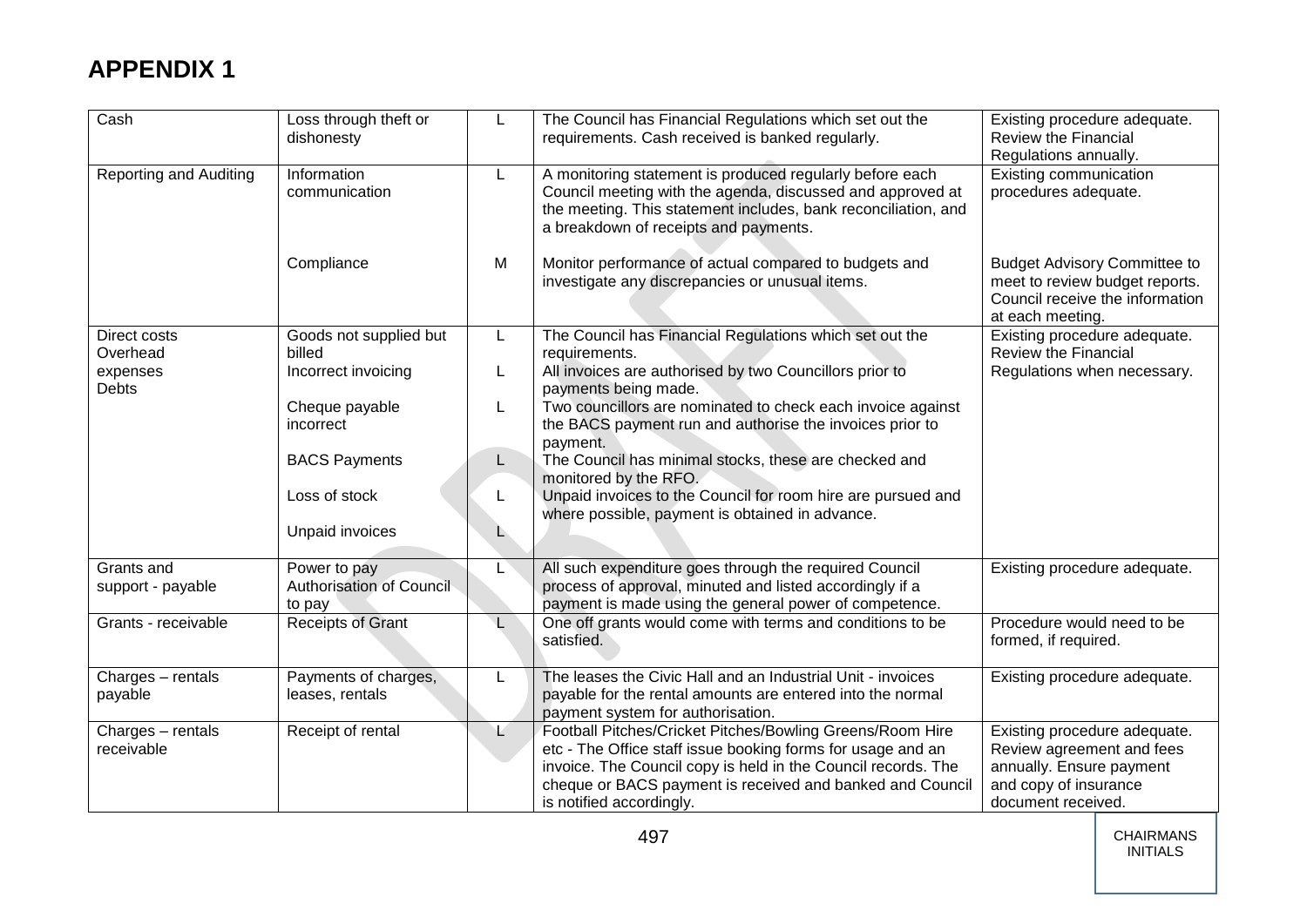| Cash                   | Loss through theft or<br>dishonesty | L            | The Council has Financial Regulations which set out the<br>requirements. Cash received is banked regularly.                                                                                                                       | Existing procedure adequate.<br><b>Review the Financial</b><br>Regulations annually.                                         |
|------------------------|-------------------------------------|--------------|-----------------------------------------------------------------------------------------------------------------------------------------------------------------------------------------------------------------------------------|------------------------------------------------------------------------------------------------------------------------------|
| Reporting and Auditing | Information<br>communication        | L.           | A monitoring statement is produced regularly before each<br>Council meeting with the agenda, discussed and approved at<br>the meeting. This statement includes, bank reconciliation, and<br>a breakdown of receipts and payments. | Existing communication<br>procedures adequate.                                                                               |
|                        | Compliance                          | M            | Monitor performance of actual compared to budgets and<br>investigate any discrepancies or unusual items.                                                                                                                          | <b>Budget Advisory Committee to</b><br>meet to review budget reports.<br>Council receive the information<br>at each meeting. |
| Direct costs           | Goods not supplied but              | L.           | The Council has Financial Regulations which set out the                                                                                                                                                                           | Existing procedure adequate.                                                                                                 |
| Overhead               | billed                              |              | requirements.                                                                                                                                                                                                                     | <b>Review the Financial</b>                                                                                                  |
| expenses<br>Debts      | Incorrect invoicing                 | L            | All invoices are authorised by two Councillors prior to<br>payments being made.                                                                                                                                                   | Regulations when necessary.                                                                                                  |
|                        | Cheque payable<br>incorrect         | L            | Two councillors are nominated to check each invoice against<br>the BACS payment run and authorise the invoices prior to                                                                                                           |                                                                                                                              |
|                        |                                     |              | payment.                                                                                                                                                                                                                          |                                                                                                                              |
|                        | <b>BACS Payments</b>                | L            | The Council has minimal stocks, these are checked and<br>monitored by the RFO.                                                                                                                                                    |                                                                                                                              |
|                        | Loss of stock                       | L.           | Unpaid invoices to the Council for room hire are pursued and<br>where possible, payment is obtained in advance.                                                                                                                   |                                                                                                                              |
|                        | Unpaid invoices                     | L.           |                                                                                                                                                                                                                                   |                                                                                                                              |
| Grants and             | Power to pay                        |              | All such expenditure goes through the required Council                                                                                                                                                                            | Existing procedure adequate.                                                                                                 |
| support - payable      | Authorisation of Council            |              | process of approval, minuted and listed accordingly if a                                                                                                                                                                          |                                                                                                                              |
|                        | to pay                              |              | payment is made using the general power of competence.                                                                                                                                                                            |                                                                                                                              |
| Grants - receivable    | Receipts of Grant                   | $\mathsf{L}$ | One off grants would come with terms and conditions to be<br>satisfied.                                                                                                                                                           | Procedure would need to be<br>formed, if required.                                                                           |
| Charges - rentals      | Payments of charges,                | L            | The leases the Civic Hall and an Industrial Unit - invoices                                                                                                                                                                       | Existing procedure adequate.                                                                                                 |
| payable                | leases, rentals                     |              | payable for the rental amounts are entered into the normal<br>payment system for authorisation.                                                                                                                                   |                                                                                                                              |
| Charges - rentals      | Receipt of rental                   | L.           | Football Pitches/Cricket Pitches/Bowling Greens/Room Hire                                                                                                                                                                         | Existing procedure adequate.                                                                                                 |
| receivable             |                                     |              | etc - The Office staff issue booking forms for usage and an                                                                                                                                                                       | Review agreement and fees                                                                                                    |
|                        |                                     |              | invoice. The Council copy is held in the Council records. The                                                                                                                                                                     | annually. Ensure payment                                                                                                     |
|                        |                                     |              | cheque or BACS payment is received and banked and Council                                                                                                                                                                         | and copy of insurance                                                                                                        |
|                        |                                     |              | is notified accordingly.                                                                                                                                                                                                          | document received.                                                                                                           |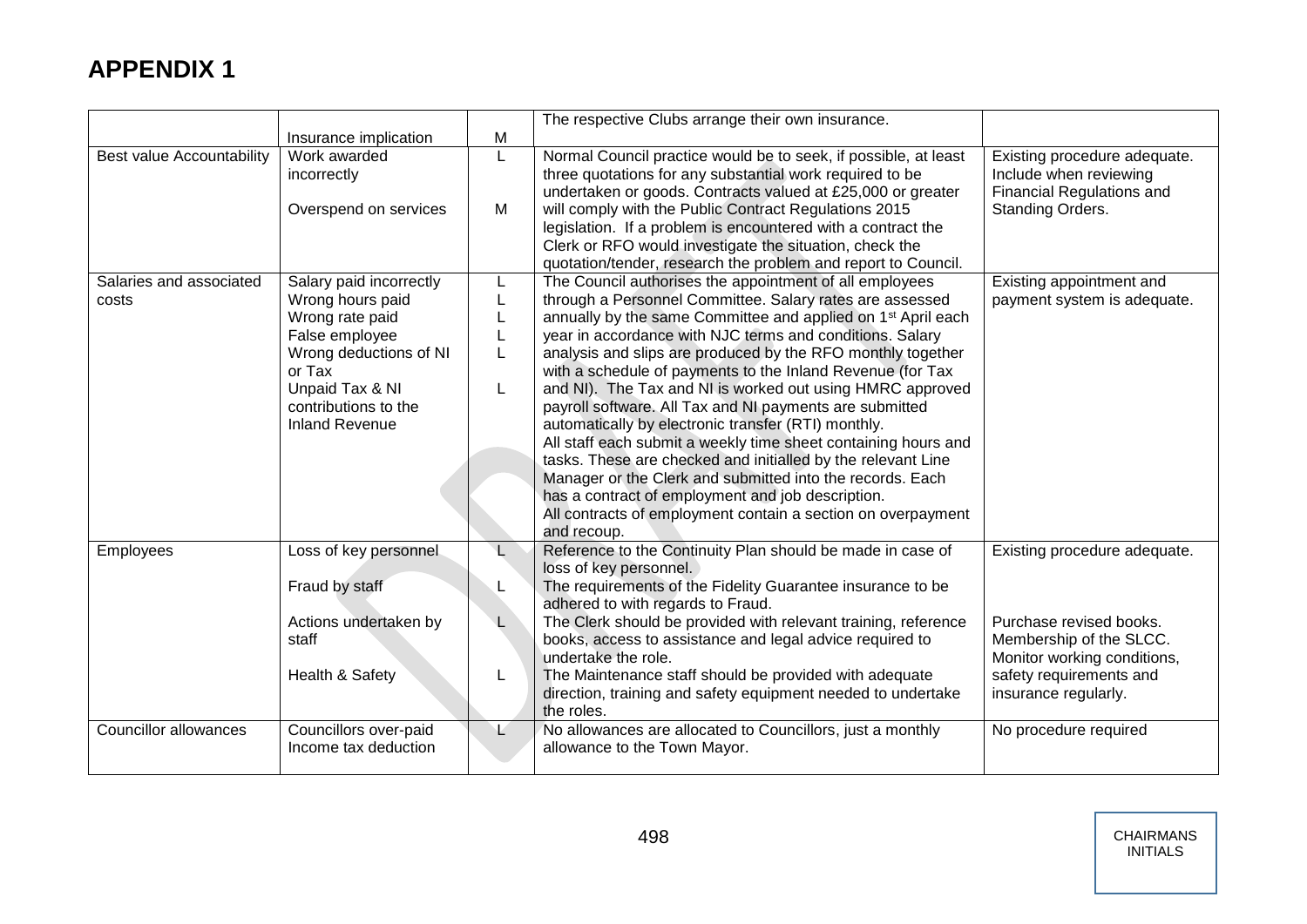|                                  |                                  |   | The respective Clubs arrange their own insurance.                                                                                                                                                                                                 |                                                                                            |
|----------------------------------|----------------------------------|---|---------------------------------------------------------------------------------------------------------------------------------------------------------------------------------------------------------------------------------------------------|--------------------------------------------------------------------------------------------|
|                                  | Insurance implication            | M |                                                                                                                                                                                                                                                   |                                                                                            |
| <b>Best value Accountability</b> | Work awarded<br>incorrectly      | L | Normal Council practice would be to seek, if possible, at least<br>three quotations for any substantial work required to be<br>undertaken or goods. Contracts valued at £25,000 or greater                                                        | Existing procedure adequate.<br>Include when reviewing<br><b>Financial Regulations and</b> |
|                                  | Overspend on services            | М | will comply with the Public Contract Regulations 2015<br>legislation. If a problem is encountered with a contract the<br>Clerk or RFO would investigate the situation, check the<br>quotation/tender, research the problem and report to Council. | Standing Orders.                                                                           |
| Salaries and associated          | Salary paid incorrectly          |   | The Council authorises the appointment of all employees                                                                                                                                                                                           | Existing appointment and                                                                   |
| costs                            | Wrong hours paid                 |   | through a Personnel Committee. Salary rates are assessed                                                                                                                                                                                          | payment system is adequate.                                                                |
|                                  | Wrong rate paid                  |   | annually by the same Committee and applied on 1 <sup>st</sup> April each                                                                                                                                                                          |                                                                                            |
|                                  | False employee                   |   | year in accordance with NJC terms and conditions. Salary                                                                                                                                                                                          |                                                                                            |
|                                  | Wrong deductions of NI<br>or Tax |   | analysis and slips are produced by the RFO monthly together<br>with a schedule of payments to the Inland Revenue (for Tax                                                                                                                         |                                                                                            |
|                                  | Unpaid Tax & NI                  | L | and NI). The Tax and NI is worked out using HMRC approved                                                                                                                                                                                         |                                                                                            |
|                                  | contributions to the             |   | payroll software. All Tax and NI payments are submitted                                                                                                                                                                                           |                                                                                            |
|                                  | <b>Inland Revenue</b>            |   | automatically by electronic transfer (RTI) monthly.                                                                                                                                                                                               |                                                                                            |
|                                  |                                  |   | All staff each submit a weekly time sheet containing hours and                                                                                                                                                                                    |                                                                                            |
|                                  |                                  |   | tasks. These are checked and initialled by the relevant Line                                                                                                                                                                                      |                                                                                            |
|                                  |                                  |   | Manager or the Clerk and submitted into the records. Each                                                                                                                                                                                         |                                                                                            |
|                                  |                                  |   | has a contract of employment and job description.                                                                                                                                                                                                 |                                                                                            |
|                                  |                                  |   | All contracts of employment contain a section on overpayment<br>and recoup.                                                                                                                                                                       |                                                                                            |
| Employees                        | Loss of key personnel            | L | Reference to the Continuity Plan should be made in case of<br>loss of key personnel.                                                                                                                                                              | Existing procedure adequate.                                                               |
|                                  | Fraud by staff                   |   | The requirements of the Fidelity Guarantee insurance to be                                                                                                                                                                                        |                                                                                            |
|                                  |                                  |   | adhered to with regards to Fraud.                                                                                                                                                                                                                 |                                                                                            |
|                                  | Actions undertaken by            | L | The Clerk should be provided with relevant training, reference                                                                                                                                                                                    | Purchase revised books.                                                                    |
|                                  | staff                            |   | books, access to assistance and legal advice required to<br>undertake the role.                                                                                                                                                                   | Membership of the SLCC.<br>Monitor working conditions,                                     |
|                                  | Health & Safety                  | L | The Maintenance staff should be provided with adequate<br>direction, training and safety equipment needed to undertake                                                                                                                            | safety requirements and<br>insurance regularly.                                            |
|                                  |                                  |   | the roles.                                                                                                                                                                                                                                        |                                                                                            |
| <b>Councillor allowances</b>     | Councillors over-paid            | Ł | No allowances are allocated to Councillors, just a monthly                                                                                                                                                                                        | No procedure required                                                                      |
|                                  | Income tax deduction             |   | allowance to the Town Mayor.                                                                                                                                                                                                                      |                                                                                            |
|                                  |                                  |   |                                                                                                                                                                                                                                                   |                                                                                            |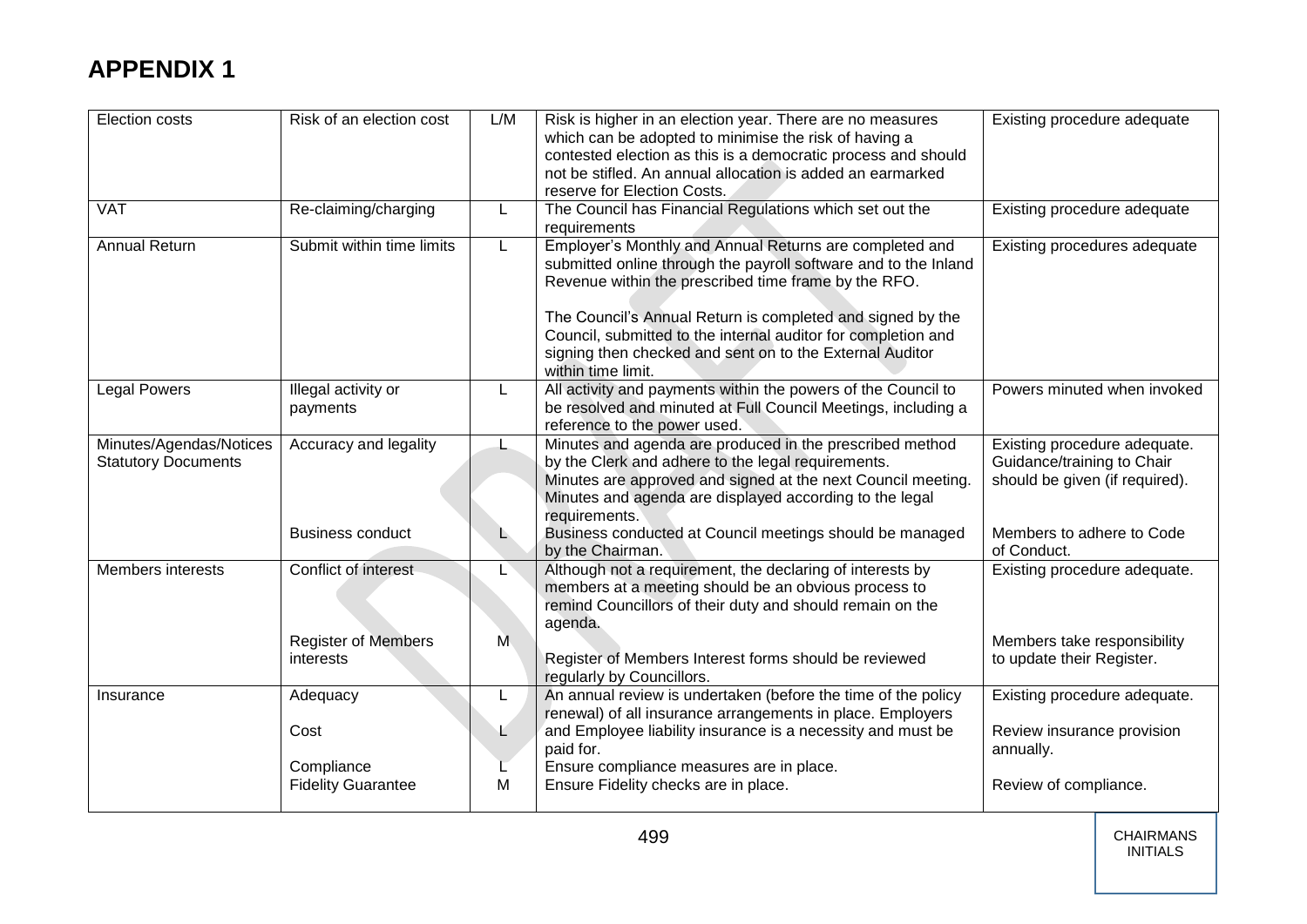| Election costs                                        | Risk of an election cost                | L/M | Risk is higher in an election year. There are no measures<br>which can be adopted to minimise the risk of having a<br>contested election as this is a democratic process and should<br>not be stifled. An annual allocation is added an earmarked<br>reserve for Election Costs.                                                                                                                    | Existing procedure adequate                                                                  |
|-------------------------------------------------------|-----------------------------------------|-----|-----------------------------------------------------------------------------------------------------------------------------------------------------------------------------------------------------------------------------------------------------------------------------------------------------------------------------------------------------------------------------------------------------|----------------------------------------------------------------------------------------------|
| <b>VAT</b>                                            | Re-claiming/charging                    | L   | The Council has Financial Regulations which set out the<br>requirements                                                                                                                                                                                                                                                                                                                             | Existing procedure adequate                                                                  |
| <b>Annual Return</b>                                  | Submit within time limits               | L   | Employer's Monthly and Annual Returns are completed and<br>submitted online through the payroll software and to the Inland<br>Revenue within the prescribed time frame by the RFO.<br>The Council's Annual Return is completed and signed by the<br>Council, submitted to the internal auditor for completion and<br>signing then checked and sent on to the External Auditor<br>within time limit. | Existing procedures adequate                                                                 |
| <b>Legal Powers</b>                                   | Illegal activity or<br>payments         | L   | All activity and payments within the powers of the Council to<br>be resolved and minuted at Full Council Meetings, including a<br>reference to the power used.                                                                                                                                                                                                                                      | Powers minuted when invoked                                                                  |
| Minutes/Agendas/Notices<br><b>Statutory Documents</b> | Accuracy and legality                   | L.  | Minutes and agenda are produced in the prescribed method<br>by the Clerk and adhere to the legal requirements.<br>Minutes are approved and signed at the next Council meeting.<br>Minutes and agenda are displayed according to the legal<br>requirements.                                                                                                                                          | Existing procedure adequate.<br>Guidance/training to Chair<br>should be given (if required). |
|                                                       | <b>Business conduct</b>                 | L.  | Business conducted at Council meetings should be managed<br>by the Chairman.                                                                                                                                                                                                                                                                                                                        | Members to adhere to Code<br>of Conduct.                                                     |
| <b>Members interests</b>                              | Conflict of interest                    |     | Although not a requirement, the declaring of interests by<br>members at a meeting should be an obvious process to<br>remind Councillors of their duty and should remain on the<br>agenda.                                                                                                                                                                                                           | Existing procedure adequate.                                                                 |
|                                                       | <b>Register of Members</b><br>interests | M   | Register of Members Interest forms should be reviewed<br>regularly by Councillors.                                                                                                                                                                                                                                                                                                                  | Members take responsibility<br>to update their Register.                                     |
| Insurance                                             | Adequacy                                | L   | An annual review is undertaken (before the time of the policy<br>renewal) of all insurance arrangements in place. Employers                                                                                                                                                                                                                                                                         | Existing procedure adequate.                                                                 |
|                                                       | Cost                                    | Ł   | and Employee liability insurance is a necessity and must be<br>paid for.                                                                                                                                                                                                                                                                                                                            | Review insurance provision<br>annually.                                                      |
|                                                       | Compliance<br><b>Fidelity Guarantee</b> | M   | Ensure compliance measures are in place.<br>Ensure Fidelity checks are in place.                                                                                                                                                                                                                                                                                                                    | Review of compliance.                                                                        |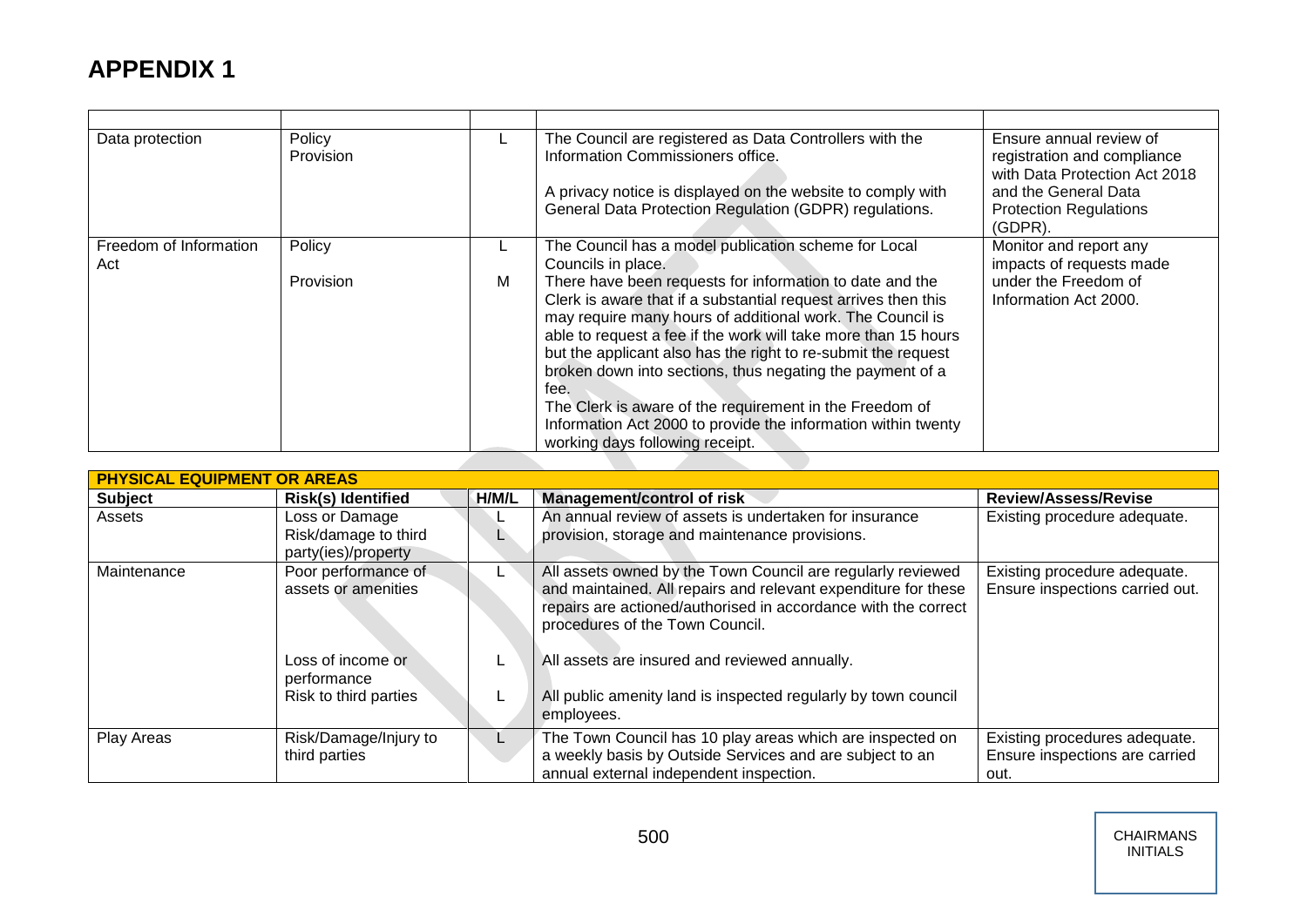| Data protection               | Policy<br>Provision | L.      | The Council are registered as Data Controllers with the<br>Information Commissioners office.<br>A privacy notice is displayed on the website to comply with<br>General Data Protection Regulation (GDPR) regulations.                                                                                                                                                                                                                                                                                                                                                                                                                        | Ensure annual review of<br>registration and compliance<br>with Data Protection Act 2018<br>and the General Data<br><b>Protection Regulations</b><br>$(GDPR)$ . |
|-------------------------------|---------------------|---------|----------------------------------------------------------------------------------------------------------------------------------------------------------------------------------------------------------------------------------------------------------------------------------------------------------------------------------------------------------------------------------------------------------------------------------------------------------------------------------------------------------------------------------------------------------------------------------------------------------------------------------------------|----------------------------------------------------------------------------------------------------------------------------------------------------------------|
| Freedom of Information<br>Act | Policy<br>Provision | ц.<br>м | The Council has a model publication scheme for Local<br>Councils in place.<br>There have been requests for information to date and the<br>Clerk is aware that if a substantial request arrives then this<br>may require many hours of additional work. The Council is<br>able to request a fee if the work will take more than 15 hours<br>but the applicant also has the right to re-submit the request<br>broken down into sections, thus negating the payment of a<br>fee.<br>The Clerk is aware of the requirement in the Freedom of<br>Information Act 2000 to provide the information within twenty<br>working days following receipt. | Monitor and report any<br>impacts of requests made<br>under the Freedom of<br>Information Act 2000.                                                            |

| <b>PHYSICAL EQUIPMENT OR AREAS</b> |                                                               |                                               |                                                                                                                                                                                                                                    |                                                                         |  |
|------------------------------------|---------------------------------------------------------------|-----------------------------------------------|------------------------------------------------------------------------------------------------------------------------------------------------------------------------------------------------------------------------------------|-------------------------------------------------------------------------|--|
| <b>Subject</b>                     | <b>Risk(s) Identified</b>                                     | H/M/L                                         | <b>Management/control of risk</b>                                                                                                                                                                                                  | <b>Review/Assess/Revise</b>                                             |  |
| Assets                             | Loss or Damage<br>Risk/damage to third<br>party(ies)/property |                                               | An annual review of assets is undertaken for insurance<br>provision, storage and maintenance provisions.                                                                                                                           | Existing procedure adequate.                                            |  |
| Maintenance                        | Poor performance of<br>assets or amenities                    |                                               | All assets owned by the Town Council are regularly reviewed<br>and maintained. All repairs and relevant expenditure for these<br>repairs are actioned/authorised in accordance with the correct<br>procedures of the Town Council. | Existing procedure adequate.<br>Ensure inspections carried out.         |  |
| Loss of income or<br>performance   |                                                               | All assets are insured and reviewed annually. |                                                                                                                                                                                                                                    |                                                                         |  |
|                                    | Risk to third parties                                         |                                               | All public amenity land is inspected regularly by town council<br>employees.                                                                                                                                                       |                                                                         |  |
| Play Areas                         | Risk/Damage/Injury to<br>third parties                        |                                               | The Town Council has 10 play areas which are inspected on<br>a weekly basis by Outside Services and are subject to an<br>annual external independent inspection.                                                                   | Existing procedures adequate.<br>Ensure inspections are carried<br>out. |  |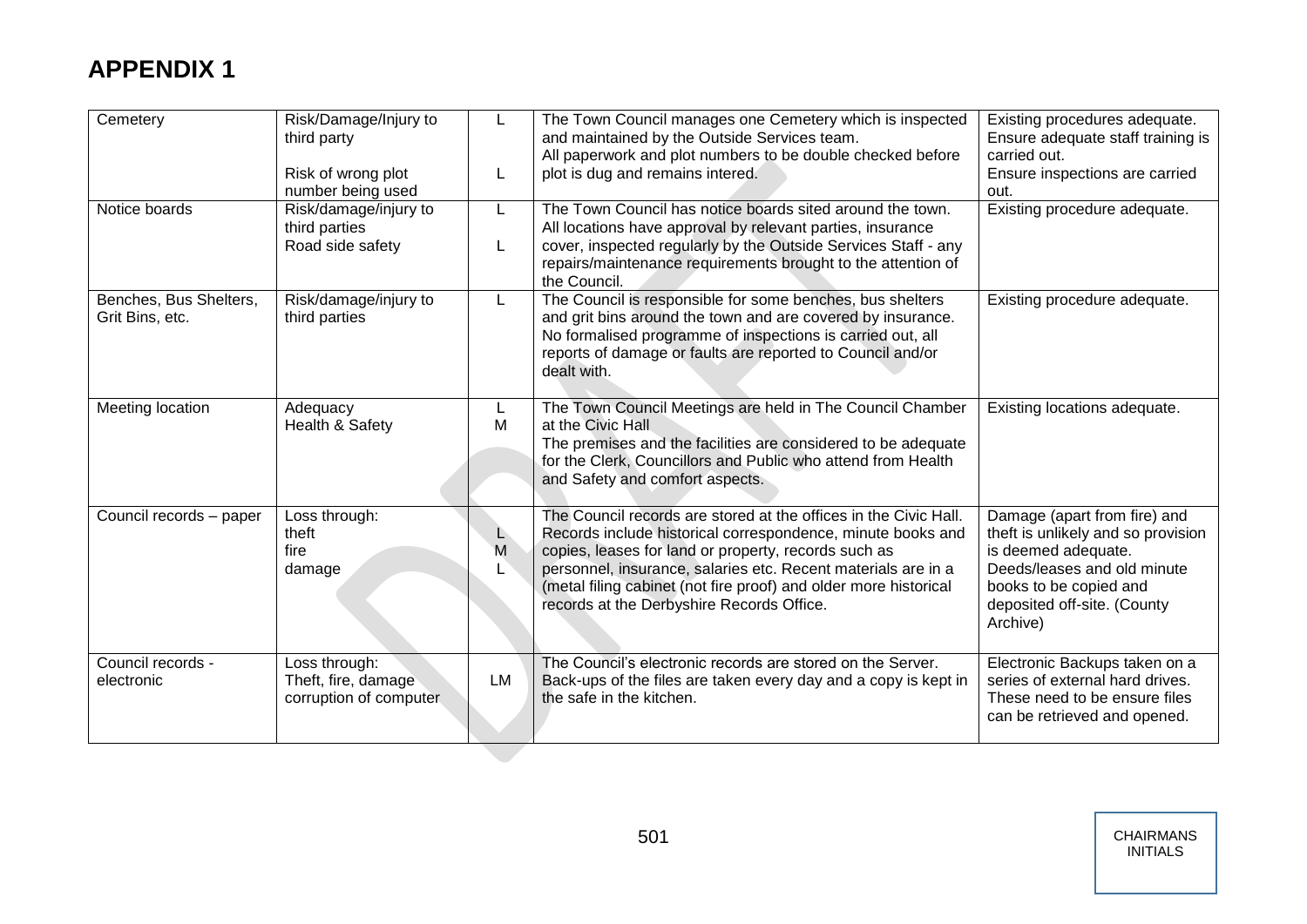| Cemetery                                  | Risk/Damage/Injury to<br>third party<br>Risk of wrong plot<br>number being used | L       | The Town Council manages one Cemetery which is inspected<br>and maintained by the Outside Services team.<br>All paperwork and plot numbers to be double checked before<br>plot is dug and remains intered.                                                                                                                                                                | Existing procedures adequate.<br>Ensure adequate staff training is<br>carried out.<br>Ensure inspections are carried<br>out.                                                                  |
|-------------------------------------------|---------------------------------------------------------------------------------|---------|---------------------------------------------------------------------------------------------------------------------------------------------------------------------------------------------------------------------------------------------------------------------------------------------------------------------------------------------------------------------------|-----------------------------------------------------------------------------------------------------------------------------------------------------------------------------------------------|
| Notice boards                             | Risk/damage/injury to<br>third parties<br>Road side safety                      | L<br>L  | The Town Council has notice boards sited around the town.<br>All locations have approval by relevant parties, insurance<br>cover, inspected regularly by the Outside Services Staff - any<br>repairs/maintenance requirements brought to the attention of<br>the Council.                                                                                                 | Existing procedure adequate.                                                                                                                                                                  |
| Benches, Bus Shelters,<br>Grit Bins, etc. | Risk/damage/injury to<br>third parties                                          | L       | The Council is responsible for some benches, bus shelters<br>and grit bins around the town and are covered by insurance.<br>No formalised programme of inspections is carried out, all<br>reports of damage or faults are reported to Council and/or<br>dealt with.                                                                                                       | Existing procedure adequate.                                                                                                                                                                  |
| Meeting location                          | Adequacy<br>Health & Safety                                                     | L<br>M  | The Town Council Meetings are held in The Council Chamber<br>at the Civic Hall<br>The premises and the facilities are considered to be adequate<br>for the Clerk, Councillors and Public who attend from Health<br>and Safety and comfort aspects.                                                                                                                        | Existing locations adequate.                                                                                                                                                                  |
| Council records - paper                   | Loss through:<br>theft<br>fire<br>damage                                        | L.<br>M | The Council records are stored at the offices in the Civic Hall.<br>Records include historical correspondence, minute books and<br>copies, leases for land or property, records such as<br>personnel, insurance, salaries etc. Recent materials are in a<br>(metal filing cabinet (not fire proof) and older more historical<br>records at the Derbyshire Records Office. | Damage (apart from fire) and<br>theft is unlikely and so provision<br>is deemed adequate.<br>Deeds/leases and old minute<br>books to be copied and<br>deposited off-site. (County<br>Archive) |
| Council records -<br>electronic           | Loss through:<br>Theft, fire, damage<br>corruption of computer                  | LM      | The Council's electronic records are stored on the Server.<br>Back-ups of the files are taken every day and a copy is kept in<br>the safe in the kitchen.                                                                                                                                                                                                                 | Electronic Backups taken on a<br>series of external hard drives.<br>These need to be ensure files<br>can be retrieved and opened.                                                             |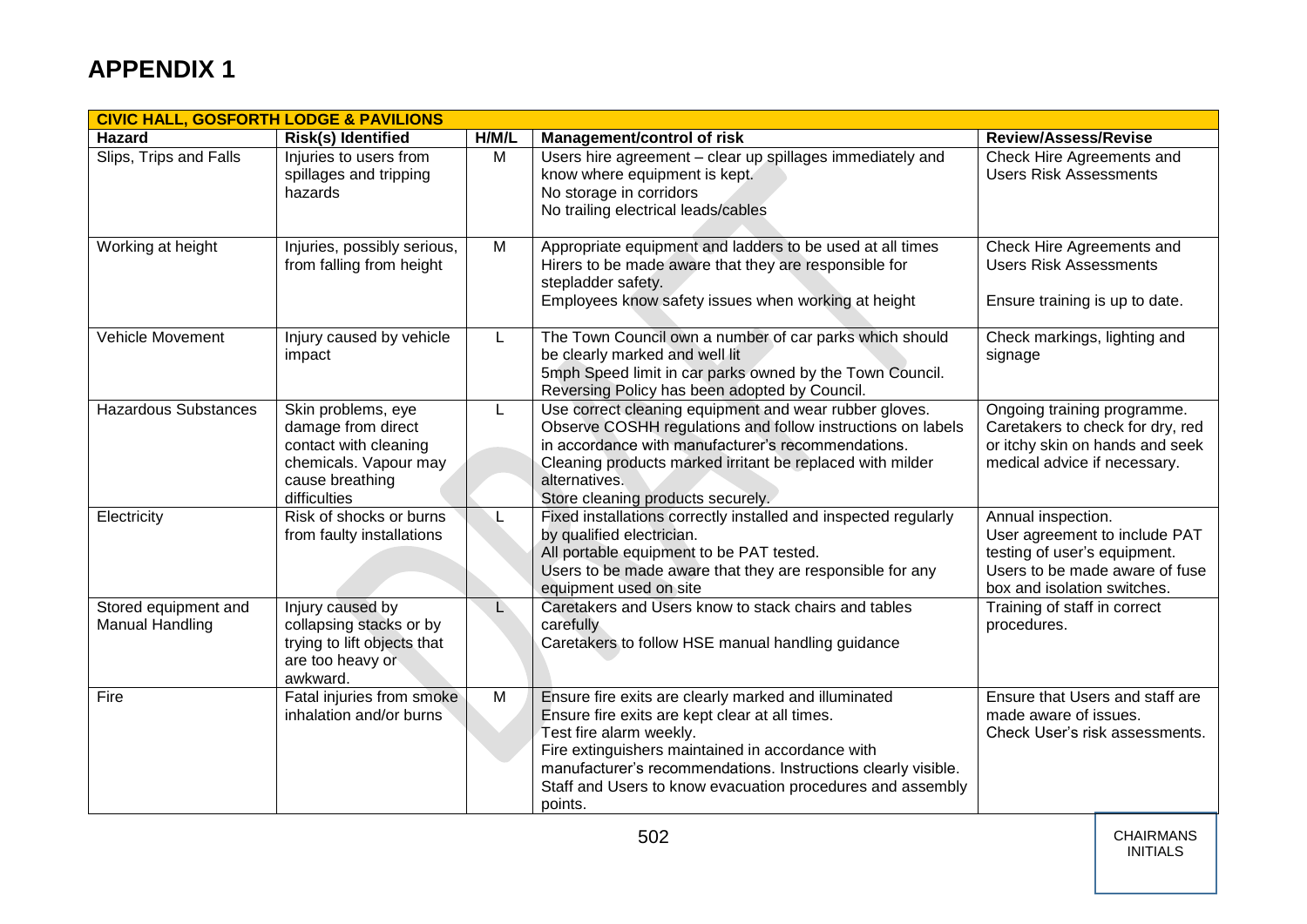|                                         | <b>CIVIC HALL, GOSFORTH LODGE &amp; PAVILIONS</b>                                                                             |       |                                                                                                                                                                                                                                                                                                                                 |                                                                                                                                                      |  |  |  |
|-----------------------------------------|-------------------------------------------------------------------------------------------------------------------------------|-------|---------------------------------------------------------------------------------------------------------------------------------------------------------------------------------------------------------------------------------------------------------------------------------------------------------------------------------|------------------------------------------------------------------------------------------------------------------------------------------------------|--|--|--|
| <b>Hazard</b>                           | <b>Risk(s) Identified</b>                                                                                                     | H/M/L | Management/control of risk                                                                                                                                                                                                                                                                                                      | <b>Review/Assess/Revise</b>                                                                                                                          |  |  |  |
| Slips, Trips and Falls                  | Injuries to users from<br>spillages and tripping<br>hazards                                                                   | M     | Users hire agreement - clear up spillages immediately and<br>know where equipment is kept.<br>No storage in corridors<br>No trailing electrical leads/cables                                                                                                                                                                    | Check Hire Agreements and<br><b>Users Risk Assessments</b>                                                                                           |  |  |  |
| Working at height                       | Injuries, possibly serious,<br>from falling from height                                                                       | M     | Appropriate equipment and ladders to be used at all times<br>Hirers to be made aware that they are responsible for<br>stepladder safety.<br>Employees know safety issues when working at height                                                                                                                                 | Check Hire Agreements and<br><b>Users Risk Assessments</b><br>Ensure training is up to date.                                                         |  |  |  |
| Vehicle Movement                        | Injury caused by vehicle<br>impact                                                                                            | L     | The Town Council own a number of car parks which should<br>be clearly marked and well lit<br>5mph Speed limit in car parks owned by the Town Council.<br>Reversing Policy has been adopted by Council.                                                                                                                          | Check markings, lighting and<br>signage                                                                                                              |  |  |  |
| <b>Hazardous Substances</b>             | Skin problems, eye<br>damage from direct<br>contact with cleaning<br>chemicals. Vapour may<br>cause breathing<br>difficulties | L     | Use correct cleaning equipment and wear rubber gloves.<br>Observe COSHH regulations and follow instructions on labels<br>in accordance with manufacturer's recommendations.<br>Cleaning products marked irritant be replaced with milder<br>alternatives.<br>Store cleaning products securely.                                  | Ongoing training programme.<br>Caretakers to check for dry, red<br>or itchy skin on hands and seek<br>medical advice if necessary.                   |  |  |  |
| Electricity                             | Risk of shocks or burns<br>from faulty installations                                                                          |       | Fixed installations correctly installed and inspected regularly<br>by qualified electrician.<br>All portable equipment to be PAT tested.<br>Users to be made aware that they are responsible for any<br>equipment used on site                                                                                                  | Annual inspection.<br>User agreement to include PAT<br>testing of user's equipment.<br>Users to be made aware of fuse<br>box and isolation switches. |  |  |  |
| Stored equipment and<br>Manual Handling | Injury caused by<br>collapsing stacks or by<br>trying to lift objects that<br>are too heavy or<br>awkward.                    | L     | Caretakers and Users know to stack chairs and tables<br>carefully<br>Caretakers to follow HSE manual handling guidance                                                                                                                                                                                                          | Training of staff in correct<br>procedures.                                                                                                          |  |  |  |
| Fire                                    | Fatal injuries from smoke<br>inhalation and/or burns                                                                          | M     | Ensure fire exits are clearly marked and illuminated<br>Ensure fire exits are kept clear at all times.<br>Test fire alarm weekly.<br>Fire extinguishers maintained in accordance with<br>manufacturer's recommendations. Instructions clearly visible.<br>Staff and Users to know evacuation procedures and assembly<br>points. | Ensure that Users and staff are<br>made aware of issues.<br>Check User's risk assessments.                                                           |  |  |  |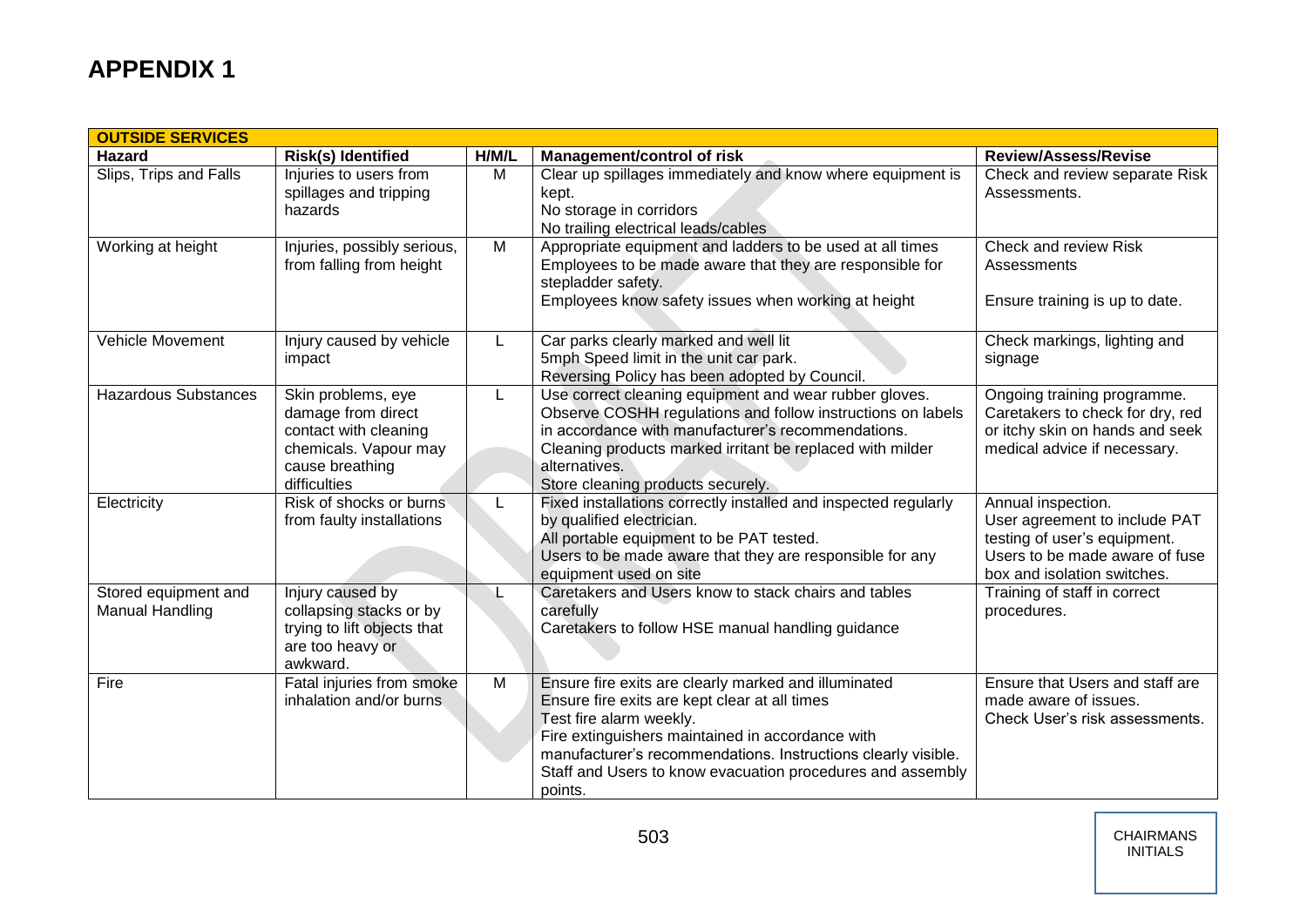| <b>OUTSIDE SERVICES</b>                        |                                                                                                                               |       |                                                                                                                                                                                                                                                                                                                                |                                                                                                                                                      |  |  |
|------------------------------------------------|-------------------------------------------------------------------------------------------------------------------------------|-------|--------------------------------------------------------------------------------------------------------------------------------------------------------------------------------------------------------------------------------------------------------------------------------------------------------------------------------|------------------------------------------------------------------------------------------------------------------------------------------------------|--|--|
| <b>Hazard</b>                                  | Risk(s) Identified                                                                                                            | H/M/L | <b>Management/control of risk</b>                                                                                                                                                                                                                                                                                              | <b>Review/Assess/Revise</b>                                                                                                                          |  |  |
| Slips, Trips and Falls                         | Injuries to users from<br>spillages and tripping<br>hazards                                                                   | M     | Clear up spillages immediately and know where equipment is<br>kept.<br>No storage in corridors<br>No trailing electrical leads/cables                                                                                                                                                                                          | Check and review separate Risk<br>Assessments.                                                                                                       |  |  |
| Working at height                              | Injuries, possibly serious,<br>from falling from height                                                                       | M     | Appropriate equipment and ladders to be used at all times<br>Employees to be made aware that they are responsible for<br>stepladder safety.<br>Employees know safety issues when working at height                                                                                                                             | Check and review Risk<br>Assessments<br>Ensure training is up to date.                                                                               |  |  |
| Vehicle Movement                               | Injury caused by vehicle<br>impact                                                                                            | L     | Car parks clearly marked and well lit<br>5mph Speed limit in the unit car park.<br>Reversing Policy has been adopted by Council.                                                                                                                                                                                               | Check markings, lighting and<br>signage                                                                                                              |  |  |
| <b>Hazardous Substances</b>                    | Skin problems, eye<br>damage from direct<br>contact with cleaning<br>chemicals. Vapour may<br>cause breathing<br>difficulties | L     | Use correct cleaning equipment and wear rubber gloves.<br>Observe COSHH regulations and follow instructions on labels<br>in accordance with manufacturer's recommendations.<br>Cleaning products marked irritant be replaced with milder<br>alternatives.<br>Store cleaning products securely.                                 | Ongoing training programme.<br>Caretakers to check for dry, red<br>or itchy skin on hands and seek<br>medical advice if necessary.                   |  |  |
| Electricity                                    | Risk of shocks or burns<br>from faulty installations                                                                          |       | Fixed installations correctly installed and inspected regularly<br>by qualified electrician.<br>All portable equipment to be PAT tested.<br>Users to be made aware that they are responsible for any<br>equipment used on site                                                                                                 | Annual inspection.<br>User agreement to include PAT<br>testing of user's equipment.<br>Users to be made aware of fuse<br>box and isolation switches. |  |  |
| Stored equipment and<br><b>Manual Handling</b> | Injury caused by<br>collapsing stacks or by<br>trying to lift objects that<br>are too heavy or<br>awkward.                    |       | Caretakers and Users know to stack chairs and tables<br>carefully<br>Caretakers to follow HSE manual handling guidance                                                                                                                                                                                                         | Training of staff in correct<br>procedures.                                                                                                          |  |  |
| Fire                                           | Fatal injuries from smoke<br>inhalation and/or burns.                                                                         | M     | Ensure fire exits are clearly marked and illuminated<br>Ensure fire exits are kept clear at all times<br>Test fire alarm weekly.<br>Fire extinguishers maintained in accordance with<br>manufacturer's recommendations. Instructions clearly visible.<br>Staff and Users to know evacuation procedures and assembly<br>points. | Ensure that Users and staff are<br>made aware of issues.<br>Check User's risk assessments.                                                           |  |  |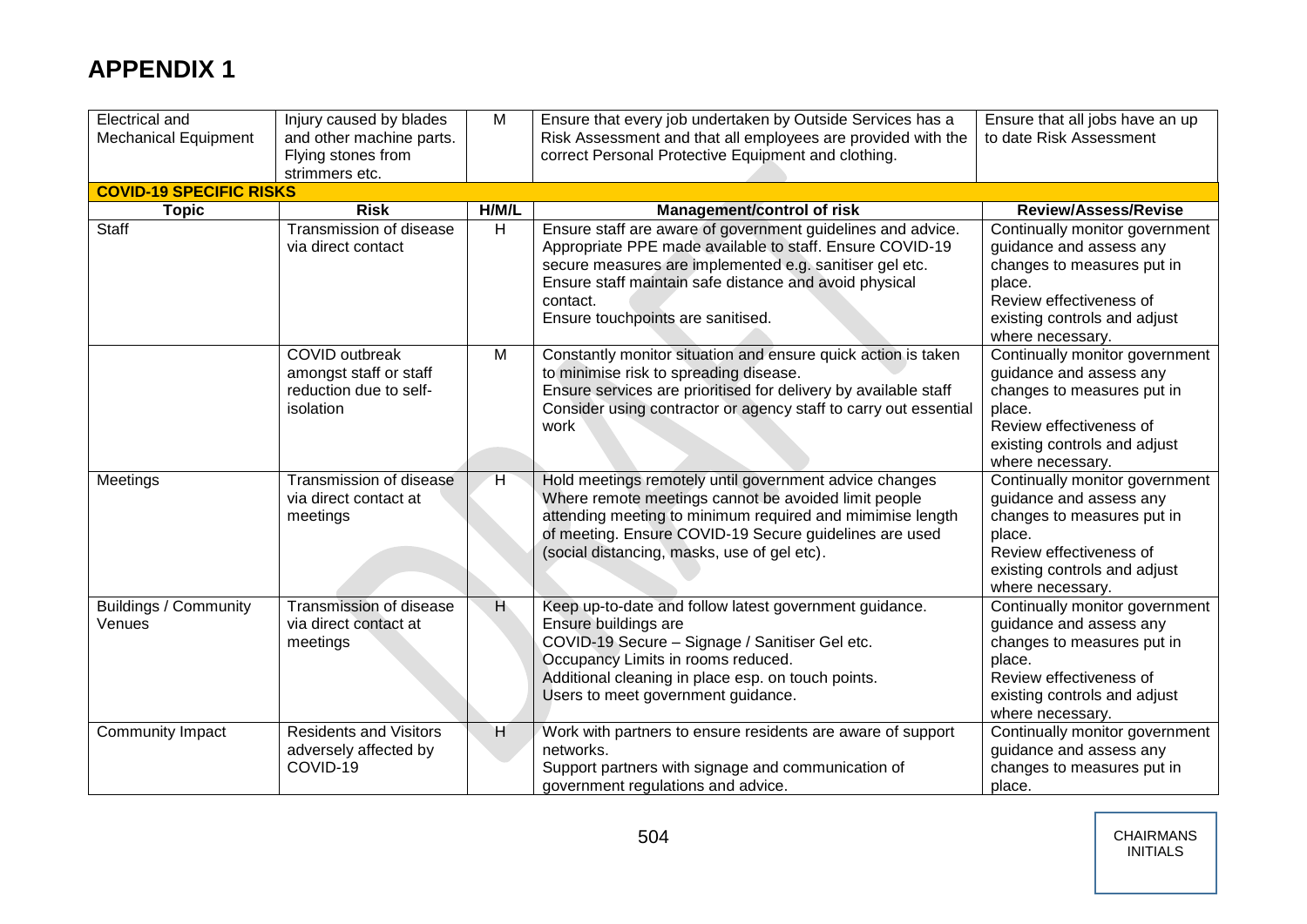| <b>Electrical and</b><br><b>Mechanical Equipment</b> | Injury caused by blades<br>and other machine parts.<br>Flying stones from<br>strimmers etc. | M              | Ensure that every job undertaken by Outside Services has a<br>Risk Assessment and that all employees are provided with the<br>correct Personal Protective Equipment and clothing.                                                                                                             | Ensure that all jobs have an up<br>to date Risk Assessment                                                                                                                       |
|------------------------------------------------------|---------------------------------------------------------------------------------------------|----------------|-----------------------------------------------------------------------------------------------------------------------------------------------------------------------------------------------------------------------------------------------------------------------------------------------|----------------------------------------------------------------------------------------------------------------------------------------------------------------------------------|
| <b>COVID-19 SPECIFIC RISKS</b>                       |                                                                                             |                |                                                                                                                                                                                                                                                                                               |                                                                                                                                                                                  |
| <b>Topic</b>                                         | <b>Risk</b>                                                                                 | H/M/L          | <b>Management/control of risk</b>                                                                                                                                                                                                                                                             | <b>Review/Assess/Revise</b>                                                                                                                                                      |
| <b>Staff</b>                                         | Transmission of disease<br>via direct contact                                               | H              | Ensure staff are aware of government guidelines and advice.<br>Appropriate PPE made available to staff. Ensure COVID-19<br>secure measures are implemented e.g. sanitiser gel etc.<br>Ensure staff maintain safe distance and avoid physical<br>contact.<br>Ensure touchpoints are sanitised. | Continually monitor government<br>guidance and assess any<br>changes to measures put in<br>place.<br>Review effectiveness of<br>existing controls and adjust<br>where necessary. |
|                                                      | <b>COVID</b> outbreak<br>amongst staff or staff<br>reduction due to self-<br>isolation      | M              | Constantly monitor situation and ensure quick action is taken<br>to minimise risk to spreading disease.<br>Ensure services are prioritised for delivery by available staff<br>Consider using contractor or agency staff to carry out essential<br>work                                        | Continually monitor government<br>guidance and assess any<br>changes to measures put in<br>place.<br>Review effectiveness of<br>existing controls and adjust<br>where necessary. |
| Meetings                                             | Transmission of disease<br>via direct contact at<br>meetings                                | H              | Hold meetings remotely until government advice changes<br>Where remote meetings cannot be avoided limit people<br>attending meeting to minimum required and mimimise length<br>of meeting. Ensure COVID-19 Secure guidelines are used<br>(social distancing, masks, use of gel etc).          | Continually monitor government<br>guidance and assess any<br>changes to measures put in<br>place.<br>Review effectiveness of<br>existing controls and adjust<br>where necessary. |
| <b>Buildings / Community</b><br>Venues               | Transmission of disease<br>via direct contact at<br>meetings                                | $\overline{H}$ | Keep up-to-date and follow latest government guidance.<br>Ensure buildings are<br>COVID-19 Secure - Signage / Sanitiser Gel etc.<br>Occupancy Limits in rooms reduced.<br>Additional cleaning in place esp. on touch points.<br>Users to meet government guidance.                            | Continually monitor government<br>guidance and assess any<br>changes to measures put in<br>place.<br>Review effectiveness of<br>existing controls and adjust<br>where necessary. |
| Community Impact                                     | <b>Residents and Visitors</b><br>adversely affected by<br>COVID-19                          | H              | Work with partners to ensure residents are aware of support<br>networks.<br>Support partners with signage and communication of<br>government regulations and advice.                                                                                                                          | Continually monitor government<br>guidance and assess any<br>changes to measures put in<br>place.                                                                                |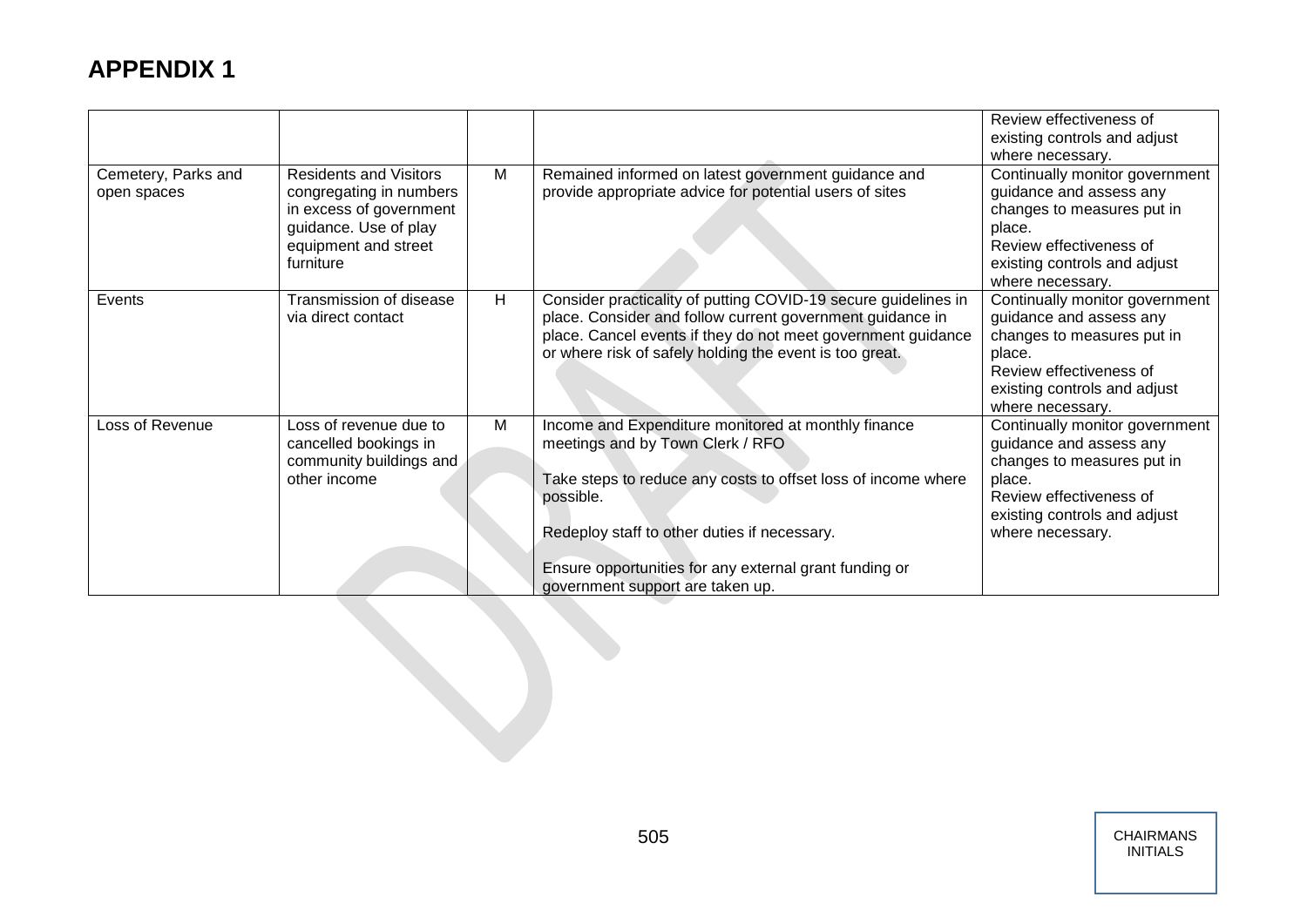|                                    |                                                                                                                                                   |   |                                                                                                                                                                                                                                                                                                                     | Review effectiveness of<br>existing controls and adjust<br>where necessary.                                                                                                      |
|------------------------------------|---------------------------------------------------------------------------------------------------------------------------------------------------|---|---------------------------------------------------------------------------------------------------------------------------------------------------------------------------------------------------------------------------------------------------------------------------------------------------------------------|----------------------------------------------------------------------------------------------------------------------------------------------------------------------------------|
| Cemetery, Parks and<br>open spaces | <b>Residents and Visitors</b><br>congregating in numbers<br>in excess of government<br>guidance. Use of play<br>equipment and street<br>furniture | M | Remained informed on latest government guidance and<br>provide appropriate advice for potential users of sites                                                                                                                                                                                                      | Continually monitor government<br>guidance and assess any<br>changes to measures put in<br>place.<br>Review effectiveness of<br>existing controls and adjust<br>where necessary. |
| Events                             | Transmission of disease<br>via direct contact                                                                                                     | H | Consider practicality of putting COVID-19 secure guidelines in<br>place. Consider and follow current government guidance in<br>place. Cancel events if they do not meet government guidance<br>or where risk of safely holding the event is too great.                                                              | Continually monitor government<br>guidance and assess any<br>changes to measures put in<br>place.<br>Review effectiveness of<br>existing controls and adjust<br>where necessary. |
| Loss of Revenue                    | Loss of revenue due to<br>cancelled bookings in<br>community buildings and<br>other income                                                        | M | Income and Expenditure monitored at monthly finance<br>meetings and by Town Clerk / RFO<br>Take steps to reduce any costs to offset loss of income where<br>possible.<br>Redeploy staff to other duties if necessary.<br>Ensure opportunities for any external grant funding or<br>government support are taken up. | Continually monitor government<br>guidance and assess any<br>changes to measures put in<br>place.<br>Review effectiveness of<br>existing controls and adjust<br>where necessary. |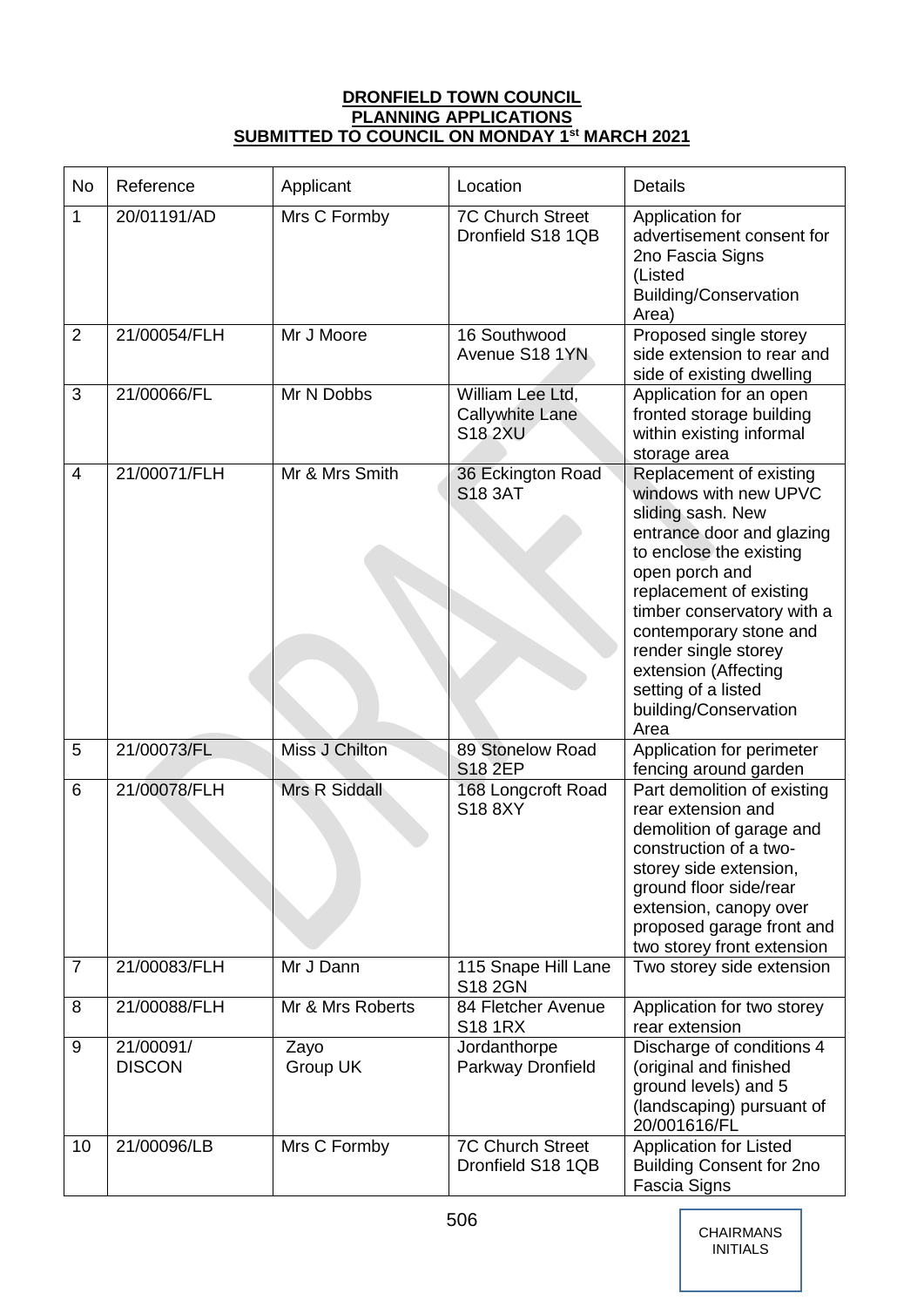## **DRONFIELD TOWN COUNCIL PLANNING APPLICATIONS SUBMITTED TO COUNCIL ON MONDAY 1st MARCH 2021**

| <b>No</b>      | Reference                  | Applicant            | Location                                              | <b>Details</b>                                                                                                                                                                                                                                                                                                                             |
|----------------|----------------------------|----------------------|-------------------------------------------------------|--------------------------------------------------------------------------------------------------------------------------------------------------------------------------------------------------------------------------------------------------------------------------------------------------------------------------------------------|
| 1              | 20/01191/AD                | Mrs C Formby         | <b>7C Church Street</b><br>Dronfield S18 1QB          | Application for<br>advertisement consent for<br>2no Fascia Signs<br>(Listed<br><b>Building/Conservation</b><br>Area)                                                                                                                                                                                                                       |
| $\overline{2}$ | 21/00054/FLH               | Mr J Moore           | 16 Southwood<br>Avenue S18 1YN                        | Proposed single storey<br>side extension to rear and<br>side of existing dwelling                                                                                                                                                                                                                                                          |
| 3              | 21/00066/FL                | Mr N Dobbs           | William Lee Ltd,<br>Callywhite Lane<br><b>S18 2XU</b> | Application for an open<br>fronted storage building<br>within existing informal<br>storage area                                                                                                                                                                                                                                            |
| $\overline{4}$ | 21/00071/FLH               | Mr & Mrs Smith       | 36 Eckington Road<br><b>S18 3AT</b>                   | Replacement of existing<br>windows with new UPVC<br>sliding sash. New<br>entrance door and glazing<br>to enclose the existing<br>open porch and<br>replacement of existing<br>timber conservatory with a<br>contemporary stone and<br>render single storey<br>extension (Affecting<br>setting of a listed<br>building/Conservation<br>Area |
| 5              | 21/00073/FL                | Miss J Chilton       | 89 Stonelow Road<br><b>S18 2EP</b>                    | Application for perimeter<br>fencing around garden                                                                                                                                                                                                                                                                                         |
| 6              | 21/00078/FLH               | <b>Mrs R Siddall</b> | 168 Longcroft Road<br>S18 8XY                         | Part demolition of existing<br>rear extension and<br>demolition of garage and<br>construction of a two-<br>storey side extension,<br>ground floor side/rear<br>extension, canopy over<br>proposed garage front and<br>two storey front extension                                                                                           |
| $\overline{7}$ | 21/00083/FLH               | Mr J Dann            | 115 Snape Hill Lane<br>S18 2GN                        | Two storey side extension                                                                                                                                                                                                                                                                                                                  |
| 8              | 21/00088/FLH               | Mr & Mrs Roberts     | 84 Fletcher Avenue<br><b>S18 1RX</b>                  | Application for two storey<br>rear extension                                                                                                                                                                                                                                                                                               |
| 9              | 21/00091/<br><b>DISCON</b> | Zayo<br>Group UK     | Jordanthorpe<br>Parkway Dronfield                     | Discharge of conditions 4<br>(original and finished<br>ground levels) and 5<br>(landscaping) pursuant of<br>20/001616/FL                                                                                                                                                                                                                   |
| 10             | 21/00096/LB                | Mrs C Formby         | <b>7C Church Street</b><br>Dronfield S18 1QB          | <b>Application for Listed</b><br><b>Building Consent for 2no</b><br>Fascia Signs                                                                                                                                                                                                                                                           |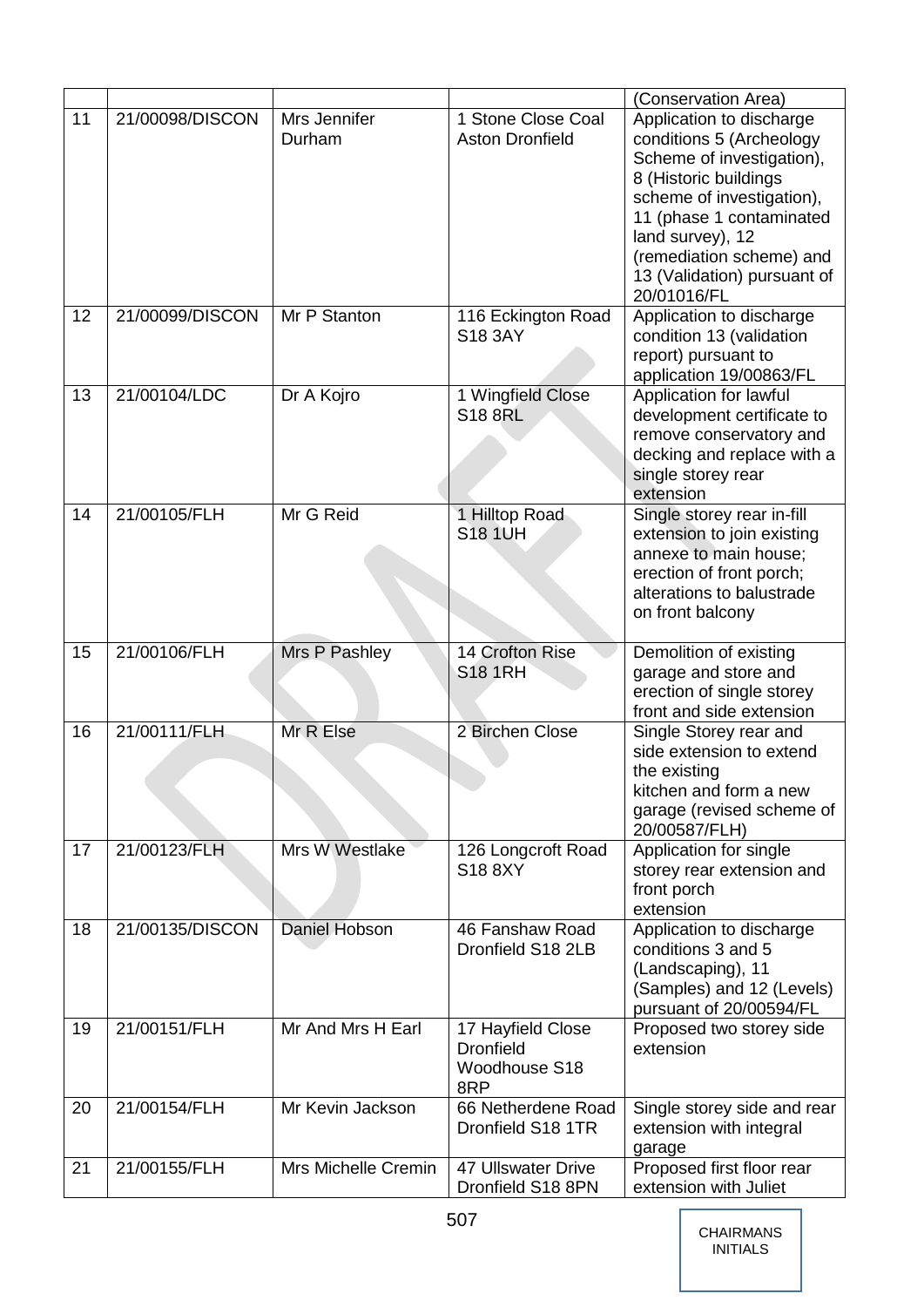|    |                 |                                         |                                                               | (Conservation Area)                                                                                                                                                                                                                                               |
|----|-----------------|-----------------------------------------|---------------------------------------------------------------|-------------------------------------------------------------------------------------------------------------------------------------------------------------------------------------------------------------------------------------------------------------------|
| 11 | 21/00098/DISCON | Mrs Jennifer<br>Durham                  | 1 Stone Close Coal<br><b>Aston Dronfield</b>                  | Application to discharge<br>conditions 5 (Archeology<br>Scheme of investigation),<br>8 (Historic buildings<br>scheme of investigation),<br>11 (phase 1 contaminated<br>land survey), 12<br>(remediation scheme) and<br>13 (Validation) pursuant of<br>20/01016/FL |
| 12 | 21/00099/DISCON | Mr P Stanton                            | 116 Eckington Road<br>S18 3AY                                 | Application to discharge<br>condition 13 (validation<br>report) pursuant to<br>application 19/00863/FL                                                                                                                                                            |
| 13 | 21/00104/LDC    | Dr A Kojro                              | 1 Wingfield Close<br><b>S18 8RL</b>                           | Application for lawful<br>development certificate to<br>remove conservatory and<br>decking and replace with a<br>single storey rear<br>extension                                                                                                                  |
| 14 | 21/00105/FLH    | Mr G Reid                               | 1 Hilltop Road<br><b>S18 1UH</b>                              | Single storey rear in-fill<br>extension to join existing<br>annexe to main house;<br>erection of front porch;<br>alterations to balustrade<br>on front balcony                                                                                                    |
|    |                 |                                         |                                                               |                                                                                                                                                                                                                                                                   |
| 15 | 21/00106/FLH    | Mrs P Pashley                           | 14 Crofton Rise<br><b>S18 1RH</b>                             | Demolition of existing<br>garage and store and<br>erection of single storey<br>front and side extension                                                                                                                                                           |
| 16 | 21/00111/FLH    | Mr R Else                               | 2 Birchen Close                                               | Single Storey rear and<br>side extension to extend<br>the existing<br>kitchen and form a new<br>garage (revised scheme of                                                                                                                                         |
| 17 | 21/00123/FLH    | Mrs W Westlake                          | 126 Longcroft Road<br>S188XY                                  | 20/00587/FLH)<br>Application for single<br>storey rear extension and<br>front porch<br>extension                                                                                                                                                                  |
| 18 | 21/00135/DISCON | Daniel Hobson                           | 46 Fanshaw Road<br>Dronfield S18 2LB                          | Application to discharge<br>conditions 3 and 5<br>(Landscaping), 11<br>(Samples) and 12 (Levels)<br>pursuant of 20/00594/FL                                                                                                                                       |
| 19 | 21/00151/FLH    | Mr And Mrs H Earl                       | 17 Hayfield Close<br><b>Dronfield</b><br>Woodhouse S18<br>8RP | Proposed two storey side<br>extension                                                                                                                                                                                                                             |
| 20 | 21/00154/FLH    | Mr Kevin Jackson<br>Mrs Michelle Cremin | 66 Netherdene Road<br>Dronfield S18 1TR                       | Single storey side and rear<br>extension with integral<br>garage<br>Proposed first floor rear                                                                                                                                                                     |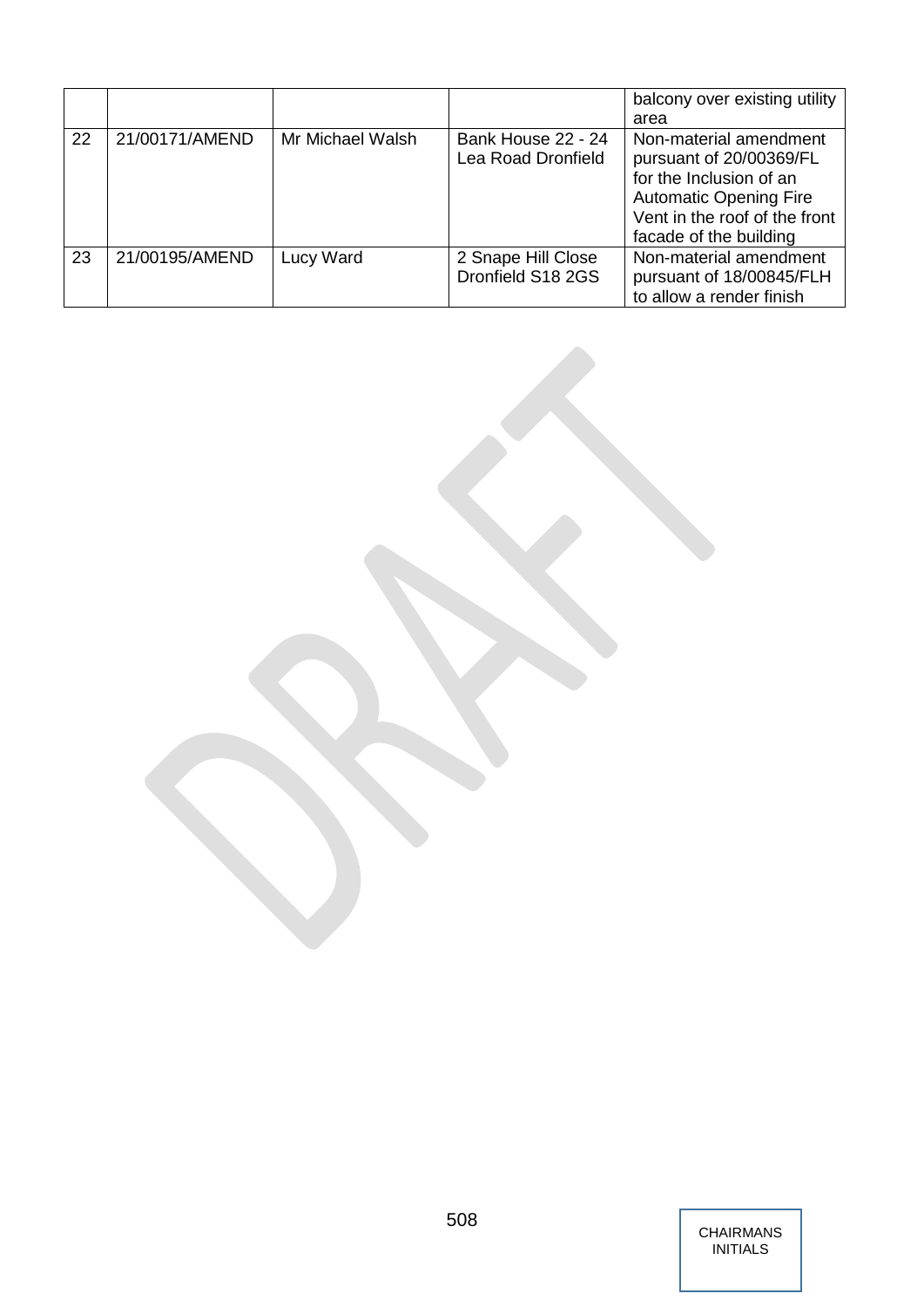|    |                |                  |                                          | balcony over existing utility<br>area                                                                                                                                    |
|----|----------------|------------------|------------------------------------------|--------------------------------------------------------------------------------------------------------------------------------------------------------------------------|
| 22 | 21/00171/AMEND | Mr Michael Walsh | Bank House 22 - 24<br>Lea Road Dronfield | Non-material amendment<br>pursuant of 20/00369/FL<br>for the Inclusion of an<br><b>Automatic Opening Fire</b><br>Vent in the roof of the front<br>facade of the building |
| 23 | 21/00195/AMEND | Lucy Ward        | 2 Snape Hill Close<br>Dronfield S18 2GS  | Non-material amendment<br>pursuant of 18/00845/FLH<br>to allow a render finish                                                                                           |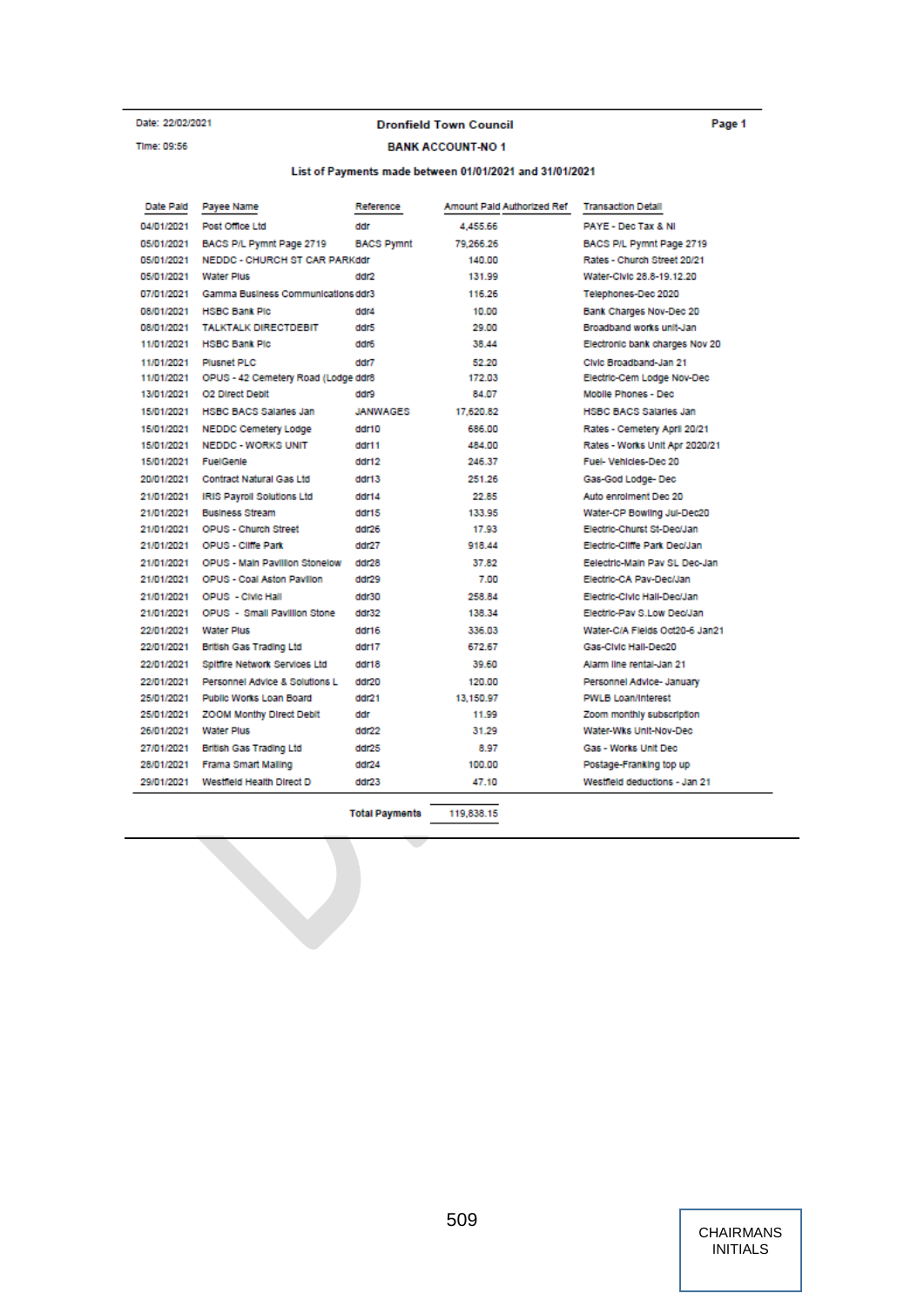#### Date: 22/02/2021 Time: 09:56

#### **Dronfield Town Council**

## **BANK ACCOUNT-NO1**

#### List of Payments made between 01/01/2021 and 31/01/2021

| Date Paid  | Payee Name                          | Reference         | Amount Pald Authorized Ref | <b>Transaction Detail</b>      |
|------------|-------------------------------------|-------------------|----------------------------|--------------------------------|
| 04/01/2021 | Post Office Ltd.                    | ddr               | 4.455.66                   | PAYE - Dec Tax & NI            |
| 05/01/2021 | BACS P/L Pymnt Page 2719            | <b>BACS Pymnt</b> | 79.266.26                  | BACS P/L Pymnt Page 2719       |
| 05/01/2021 | NEDDC - CHURCH ST CAR PARKddr       |                   | 140.00                     | Rates - Church Street 20/21    |
| 05/01/2021 | <b>Water Plus</b>                   | ddr2              | 131.99                     | Water-Civic 28.8-19.12.20      |
| 07/01/2021 | Gamma Business Communications ddr3  |                   | 116.26                     | Telephones-Dec 2020            |
| 08/01/2021 | <b>HSBC Bank Plc</b>                | ddr4              | 10.00                      | Bank Charges Nov-Dec 20        |
| 08/01/2021 | <b>TALKTALK DIRECTDEBIT</b>         | ddr5              | 29.00                      | Broadband works unit-Jan       |
| 11/01/2021 | <b>HSBC Bank Plc</b>                | ddr6              | 38.44                      | Electronic bank charges Nov 20 |
| 11/01/2021 | Plusnet PLC                         | ddr7              | 52.20                      | Civic Broadband-Jan 21         |
| 11/01/2021 | OPUS - 42 Cemetery Road (Lodge ddr8 |                   | 172.03                     | Electric-Cem Lodge Nov-Dec     |
| 13/01/2021 | O2 Direct Debit                     | erbb              | 84.07                      | Mobile Phones - Dec            |
| 15/01/2021 | <b>HSBC BACS Salaries Jan</b>       | <b>JANWAGES</b>   | 17.620.82                  | <b>HSBC BACS Salaries Jan</b>  |
| 15/01/2021 | <b>NEDDC Cemetery Lodge</b>         | ddr10             | 686.00                     | Rates - Cemetery April 20/21   |
| 15/01/2021 | <b>NEDDC - WORKS UNIT</b>           | ddr11             | 484.00                     | Rates - Works Unit Apr 2020/21 |
| 15/01/2021 | FuelGenle                           | ddr12             | 246.37                     | Fuel-Vehicles-Dec 20           |
| 20/01/2021 | Contract Natural Gas Ltd            | ddr13             | 251.26                     | Gas-God Lodge- Dec             |
| 21/01/2021 | <b>IRIS Payroll Solutions Ltd</b>   | ddr14             | 22.85                      | Auto enrolment Dec 20          |
| 21/01/2021 | <b>Business Stream</b>              | ddr15             | 133.95                     | Water-CP Bowling Jul-Dec20     |
| 21/01/2021 | <b>OPUS - Church Street</b>         | ddr26             | 17.93                      | Electric-Churst St-Dec/Jan     |
| 21/01/2021 | <b>OPUS - Cliffe Park</b>           | ddr27             | 918.44                     | Electric-Cliffe Park Dec/Jan   |
| 21/01/2021 | OPUS - Main Pavillion Stonelow      | ddr28             | 37.82                      | Eelectric-Main Pay SL Dec-Jan  |
| 21/01/2021 | <b>OPUS - Coal Aston Pavilion</b>   | ddr29             | 7.00                       | Electric-CA Pav-Dec/Jan        |
| 21/01/2021 | <b>OPUS</b> - CIVIC Hall            | ddr30             | 258.84                     | Electric-Civic Hall-Dec/Jan    |
| 21/01/2021 | OPUS - Small Pavillion Stone        | ddr32             | 138.34                     | Electric-Pay S.Low Dec/Jan     |
| 22/01/2021 | <b>Water Plus</b>                   | ddr16             | 336.03                     | Water-C/A Fields Oct20-6 Jan21 |
| 22/01/2021 | <b>British Gas Trading Ltd</b>      | ddr17             | 672.67                     | Gas-Civic Hall-Dec20           |
| 22/01/2021 | Spitfire Network Services Ltd       | ddr18             | 39.60                      | Alarm line rental-Jan 21       |
| 22/01/2021 | Personnel Advice & Solutions L      | ddr20             | 120.00                     | Personnel Advice- January      |
| 25/01/2021 | Public Works Loan Board             | ddr21             | 13.150.97                  | <b>PWLB Loan/Interest</b>      |
| 25/01/2021 | <b>ZOOM Monthy Direct Debit</b>     | ddr               | 11.99                      | Zoom monthly subscription      |
| 26/01/2021 | <b>Water Plus</b>                   | ddr22             | 31.29                      | Water-Wks Unit-Nov-Dec         |
| 27/01/2021 | <b>British Gas Trading Ltd</b>      | ddr25             | 8.97                       | Gas - Works Unit Dec.          |
| 28/01/2021 | Frama Smart Malling                 | ddr24             | 100.00                     | Postage-Franking top up        |
| 29/01/2021 | Westfield Health Direct D           | ddr23             | 47.10                      | Westfield deductions - Jan 21  |

119,838.15 **Total Payments** 

> CHAIRMANS | INITIALS